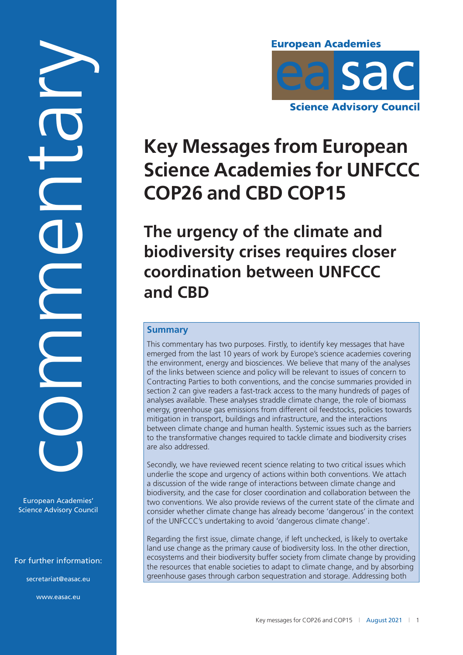Commentary

European Academies' Science Advisory Council

For further information:

[secretariat@easac.eu](mailto:secretariat@easac.eu)

[www.easac.eu](http://www.easac.eu/)



# **Key Messages from European Science Academies for UNFCCC COP26 and CBD COP15**

**The urgency of the climate and biodiversity crises requires closer coordination between UNFCCC and CBD**

# **Summary**

This commentary has two purposes. Firstly, to identify key messages that have emerged from the last 10 years of work by Europe's science academies covering the environment, energy and biosciences. We believe that many of the analyses of the links between science and policy will be relevant to issues of concern to Contracting Parties to both conventions, and the concise summaries provided in section 2 can give readers a fast-track access to the many hundreds of pages of analyses available. These analyses straddle climate change, the role of biomass energy, greenhouse gas emissions from different oil feedstocks, policies towards mitigation in transport, buildings and infrastructure, and the interactions between climate change and human health. Systemic issues such as the barriers to the transformative changes required to tackle climate and biodiversity crises are also addressed.

Secondly, we have reviewed recent science relating to two critical issues which underlie the scope and urgency of actions within both conventions. We attach a discussion of the wide range of interactions between climate change and biodiversity, and the case for closer coordination and collaboration between the two conventions. We also provide reviews of the current state of the climate and consider whether climate change has already become 'dangerous' in the context of the UNFCCC's undertaking to avoid 'dangerous climate change'.

Regarding the first issue, climate change, if left unchecked, is likely to overtake land use change as the primary cause of biodiversity loss. In the other direction, ecosystems and their biodiversity buffer society from climate change by providing the resources that enable societies to adapt to climate change, and by absorbing greenhouse gases through carbon sequestration and storage. Addressing both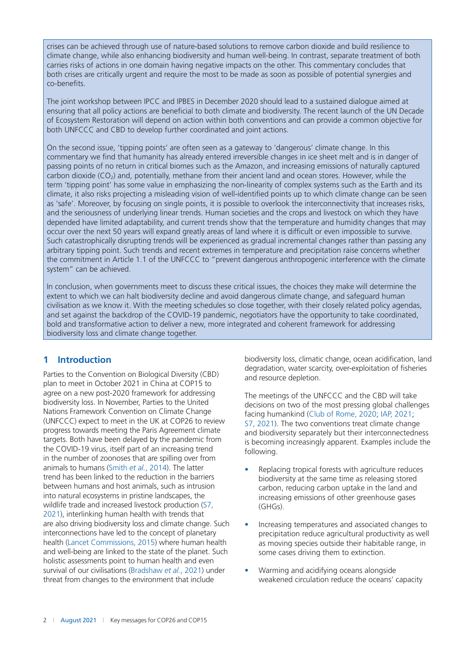crises can be achieved through use of nature-based solutions to remove carbon dioxide and build resilience to climate change, while also enhancing biodiversity and human well-being. In contrast, separate treatment of both carries risks of actions in one domain having negative impacts on the other. This commentary concludes that both crises are critically urgent and require the most to be made as soon as possible of potential synergies and co-benefits.

The joint workshop between IPCC and IPBES in December 2020 should lead to a sustained dialogue aimed at ensuring that all policy actions are beneficial to both climate and biodiversity. The recent launch of the UN Decade of Ecosystem Restoration will depend on action within both conventions and can provide a common objective for both UNFCCC and CBD to develop further coordinated and joint actions.

On the second issue, 'tipping points' are often seen as a gateway to 'dangerous' climate change. In this commentary we find that humanity has already entered irreversible changes in ice sheet melt and is in danger of passing points of no return in critical biomes such as the Amazon, and increasing emissions of naturally captured carbon dioxide  $(CO<sub>2</sub>)$  and, potentially, methane from their ancient land and ocean stores. However, while the term 'tipping point' has some value in emphasizing the non-linearity of complex systems such as the Earth and its climate, it also risks projecting a misleading vision of well-identified points up to which climate change can be seen as 'safe'. Moreover, by focusing on single points, it is possible to overlook the interconnectivity that increases risks, and the seriousness of underlying linear trends. Human societies and the crops and livestock on which they have depended have limited adaptability, and current trends show that the temperature and humidity changes that may occur over the next 50 years will expand greatly areas of land where it is difficult or even impossible to survive. Such catastrophically disrupting trends will be experienced as gradual incremental changes rather than passing any arbitrary tipping point. Such trends and recent extremes in temperature and precipitation raise concerns whether the commitment in Article 1.1 of the UNFCCC to "prevent dangerous anthropogenic interference with the climate system" can be achieved.

In conclusion, when governments meet to discuss these critical issues, the choices they make will determine the extent to which we can halt biodiversity decline and avoid dangerous climate change, and safeguard human civilisation as we know it. With the meeting schedules so close together, with their closely related policy agendas, and set against the backdrop of the COVID-19 pandemic, negotiators have the opportunity to take coordinated, bold and transformative action to deliver a new, more integrated and coherent framework for addressing biodiversity loss and climate change together.

# **1 Introduction**

Parties to the Convention on Biological Diversity (CBD) plan to meet in October 2021 in China at COP15 to agree on a new post-2020 framework for addressing biodiversity loss. In November, Parties to the United Nations Framework Convention on Climate Change (UNFCCC) expect to meet in the UK at COP26 to review progress towards meeting the Paris Agreement climate targets. Both have been delayed by the pandemic from the COVID-19 virus, itself part of an increasing trend in the number of zoonoses that are spilling over from animals to humans (Smith *et al.*, [2014](#page-16-0)). The latter trend has been linked to the reduction in the barriers between humans and host animals, such as intrusion into natural ecosystems in pristine landscapes, the wildlife trade and increased livestock production (S7, [2021\)](#page-15-0), interlinking human health with trends that are also driving biodiversity loss and climate change. Such interconnections have led to the concept of planetary health (Lancet Commissions, [2015](#page-15-0)) where human health and well-being are linked to the state of the planet. Such holistic assessments point to human health and even survival of our civilisations (Bradshaw *et al.*, [2021](#page-12-0)) under threat from changes to the environment that include

biodiversity loss, climatic change, ocean acidification, land degradation, water scarcity, over-exploitation of fisheries and resource depletion.

The meetings of the UNFCCC and the CBD will take decisions on two of the most pressing global challenges facing humankind (Club of Rome, [2020](#page-13-0); IAP, [2021;](#page-14-0) S7, [2021](#page-15-0)). The two conventions treat climate change and biodiversity separately but their interconnectedness is becoming increasingly apparent. Examples include the following.

- Replacing tropical forests with agriculture reduces biodiversity at the same time as releasing stored carbon, reducing carbon uptake in the land and increasing emissions of other greenhouse gases (GHGs).
- Increasing temperatures and associated changes to precipitation reduce agricultural productivity as well as moving species outside their habitable range, in some cases driving them to extinction.
- Warming and acidifying oceans alongside weakened circulation reduce the oceans' capacity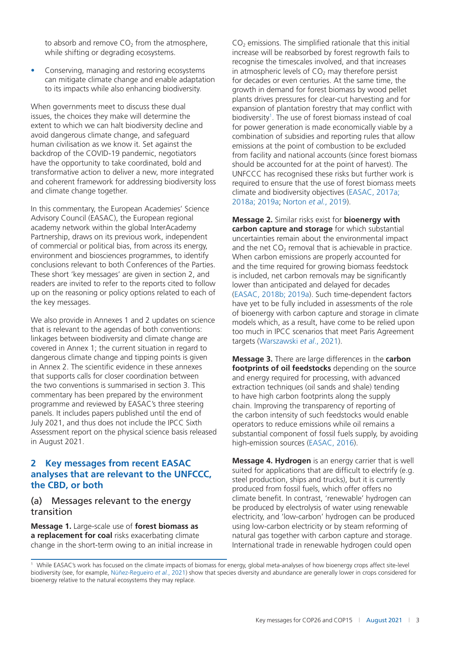to absorb and remove  $CO<sub>2</sub>$  from the atmosphere, while shifting or degrading ecosystems.

• Conserving, managing and restoring ecosystems can mitigate climate change and enable adaptation to its impacts while also enhancing biodiversity.

When governments meet to discuss these dual issues, the choices they make will determine the extent to which we can halt biodiversity decline and avoid dangerous climate change, and safeguard human civilisation as we know it. Set against the backdrop of the COVID-19 pandemic, negotiators have the opportunity to take coordinated, bold and transformative action to deliver a new, more integrated and coherent framework for addressing biodiversity loss and climate change together.

In this commentary, the European Academies' Science Advisory Council (EASAC), the European regional academy network within the global InterAcademy Partnership, draws on its previous work, independent of commercial or political bias, from across its energy, environment and biosciences programmes, to identify conclusions relevant to both Conferences of the Parties. These short 'key messages' are given in section 2, and readers are invited to refer to the reports cited to follow up on the reasoning or policy options related to each of the key messages.

We also provide in Annexes 1 and 2 updates on science that is relevant to the agendas of both conventions: linkages between biodiversity and climate change are covered in Annex 1; the current situation in regard to dangerous climate change and tipping points is given in Annex 2. The scientific evidence in these annexes that supports calls for closer coordination between the two conventions is summarised in section 3. This commentary has been prepared by the environment programme and reviewed by EASAC's three steering panels. It includes papers published until the end of July 2021, and thus does not include the IPCC Sixth Assessment report on the physical science basis released in August 2021.

# **2 Key messages from recent EASAC analyses that are relevant to the UNFCCC, the CBD, or both**

### (a) Messages relevant to the energy transition

**Message 1.** Large-scale use of **forest biomass as a replacement for coal** risks exacerbating climate change in the short-term owing to an initial increase in  $CO<sub>2</sub>$  emissions. The simplified rationale that this initial increase will be reabsorbed by forest regrowth fails to recognise the timescales involved, and that increases in atmospheric levels of  $CO<sub>2</sub>$  may therefore persist for decades or even centuries. At the same time, the growth in demand for forest biomass by wood pellet plants drives pressures for clear-cut harvesting and for expansion of plantation forestry that may conflict with biodiversity<sup>1</sup>. The use of forest biomass instead of coal for power generation is made economically viable by a combination of subsidies and reporting rules that allow emissions at the point of combustion to be excluded from facility and national accounts (since forest biomass should be accounted for at the point of harvest). The UNFCCC has recognised these risks but further work is required to ensure that the use of forest biomass meets climate and biodiversity objectives (EASAC, [2017a;](#page-13-0)  [2018a; 2019a;](#page-13-0) Norton *et al.*, [2019\)](#page-15-0).

**Message 2.** Similar risks exist for **bioenergy with carbon capture and storage** for which substantial uncertainties remain about the environmental impact and the net  $CO<sub>2</sub>$  removal that is achievable in practice. When carbon emissions are properly accounted for and the time required for growing biomass feedstock is included, net carbon removals may be significantly lower than anticipated and delayed for decades (EASAC, [2018b; 2019a\)](#page-13-0). Such time-dependent factors have yet to be fully included in assessments of the role of bioenergy with carbon capture and storage in climate models which, as a result, have come to be relied upon too much in IPCC scenarios that meet Paris Agreement targets (Warszawski *et al*., [2021\)](#page-16-0).

**Message 3.** There are large differences in the **carbon footprints of oil feedstocks** depending on the source and energy required for processing, with advanced extraction techniques (oil sands and shale) tending to have high carbon footprints along the supply chain. Improving the transparency of reporting of the carbon intensity of such feedstocks would enable operators to reduce emissions while oil remains a substantial component of fossil fuels supply, by avoiding high-emission sources (EASAC, [2016](#page-13-0)).

**Message 4. Hydrogen** is an energy carrier that is well suited for applications that are difficult to electrify (e.g. steel production, ships and trucks), but it is currently produced from fossil fuels, which offer offers no climate benefit. In contrast, 'renewable' hydrogen can be produced by electrolysis of water using renewable electricity, and 'low-carbon' hydrogen can be produced using low-carbon electricity or by steam reforming of natural gas together with carbon capture and storage. International trade in renewable hydrogen could open

<sup>1</sup> While EASAC's work has focused on the climate impacts of biomass for energy, global meta-analyses of how bioenergy crops affect site-level biodiversity (see, for example, Núñez-Regueiro *et al.*, [2021\)](#page-15-0) show that species diversity and abundance are generally lower in crops considered for bioenergy relative to the natural ecosystems they may replace.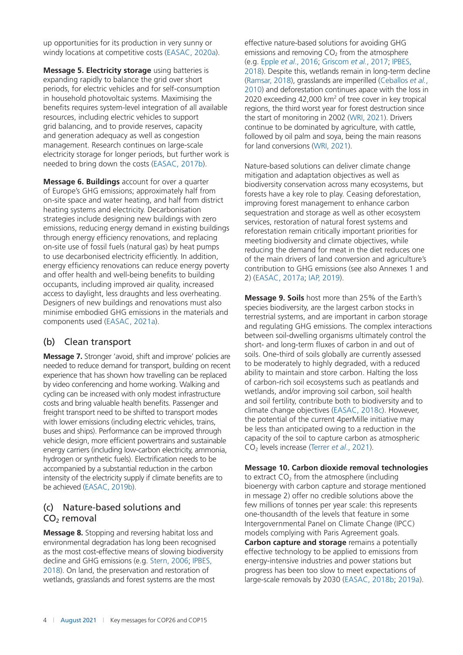up opportunities for its production in very sunny or windy locations at competitive costs (EASAC, [2020a](#page-13-0)).

**Message 5. Electricity storage** using batteries is expanding rapidly to balance the grid over short periods, for electric vehicles and for self-consumption in household photovoltaic systems. Maximising the benefits requires system-level integration of all available resources, including electric vehicles to support grid balancing, and to provide reserves, capacity and generation adequacy as well as congestion management. Research continues on large-scale electricity storage for longer periods, but further work is needed to bring down the costs (EASAC, [2017b\)](#page-13-0).

**Message 6. Buildings** account for over a quarter of Europe's GHG emissions; approximately half from on-site space and water heating, and half from district heating systems and electricity. Decarbonisation strategies include designing new buildings with zero emissions, reducing energy demand in existing buildings through energy efficiency renovations, and replacing on-site use of fossil fuels (natural gas) by heat pumps to use decarbonised electricity efficiently. In addition, energy efficiency renovations can reduce energy poverty and offer health and well-being benefits to building occupants, including improved air quality, increased access to daylight, less draughts and less overheating. Designers of new buildings and renovations must also minimise embodied GHG emissions in the materials and components used (EASAC, [2021a\)](#page-14-0).

# (b) Clean transport

**Message 7.** Stronger 'avoid, shift and improve' policies are needed to reduce demand for transport, building on recent experience that has shown how travelling can be replaced by video conferencing and home working. Walking and cycling can be increased with only modest infrastructure costs and bring valuable health benefits. Passenger and freight transport need to be shifted to transport modes with lower emissions (including electric vehicles, trains, buses and ships). Performance can be improved through vehicle design, more efficient powertrains and sustainable energy carriers (including low-carbon electricity, ammonia, hydrogen or synthetic fuels). Electrification needs to be accompanied by a substantial reduction in the carbon intensity of the electricity supply if climate benefits are to be achieved (EASAC, [2019b](#page-13-0)).

# (c) Nature-based solutions and CO<sub>2</sub> removal

**Message 8.** Stopping and reversing habitat loss and environmental degradation has long been recognised as the most cost-effective means of slowing biodiversity decline and GHG emissions (e.g. Stern, [2006](#page-16-0); IPBES, [2018\)](#page-14-0). On land, the preservation and restoration of wetlands, grasslands and forest systems are the most

effective nature-based solutions for avoiding GHG emissions and removing  $CO<sub>2</sub>$  from the atmosphere (e.g. Epple *et al*., [2016;](#page-14-0) Griscom *et al.*, [2017;](#page-14-0) IPBES, [2018](#page-14-0)). Despite this, wetlands remain in long-term decline (Ramsar, [2018](#page-15-0)), grasslands are imperilled (Ceballos *et al.*, [2010](#page-13-0)) and deforestation continues apace with the loss in 2020 exceeding  $42,000$  km<sup>2</sup> of tree cover in key tropical regions, the third worst year for forest destruction since the start of monitoring in 2002 (WRI, [2021\)](#page-16-0). Drivers continue to be dominated by agriculture, with cattle, followed by oil palm and soya, being the main reasons for land conversions (WRI, [2021\)](#page-16-0).

Nature-based solutions can deliver climate change mitigation and adaptation objectives as well as biodiversity conservation across many ecosystems, but forests have a key role to play. Ceasing deforestation, improving forest management to enhance carbon sequestration and storage as well as other ecosystem services, restoration of natural forest systems and reforestation remain critically important priorities for meeting biodiversity and climate objectives, while reducing the demand for meat in the diet reduces one of the main drivers of land conversion and agriculture's contribution to GHG emissions (see also Annexes 1 and 2) (EASAC, [2017a](#page-13-0); IAP, [2019](#page-14-0)).

**Message 9. Soils** host more than 25% of the Earth's species biodiversity, are the largest carbon stocks in terrestrial systems, and are important in carbon storage and regulating GHG emissions. The complex interactions between soil-dwelling organisms ultimately control the short- and long-term fluxes of carbon in and out of soils. One-third of soils globally are currently assessed to be moderately to highly degraded, with a reduced ability to maintain and store carbon. Halting the loss of carbon-rich soil ecosystems such as peatlands and wetlands, and/or improving soil carbon, soil health and soil fertility, contribute both to biodiversity and to climate change objectives (EASAC, [2018c](#page-13-0)). However, the potential of the current 4perMille initiative may be less than anticipated owing to a reduction in the capacity of the soil to capture carbon as atmospheric CO2 levels increase (Terrer *et al*., [2021](#page-16-0)).

#### **Message 10. Carbon dioxide removal technologies**

to extract  $CO<sub>2</sub>$  from the atmosphere (including bioenergy with carbon capture and storage mentioned in message 2) offer no credible solutions above the few millions of tonnes per year scale: this represents one-thousandth of the levels that feature in some Intergovernmental Panel on Climate Change (IPCC) models complying with Paris Agreement goals. **Carbon capture and storage** remains a potentially effective technology to be applied to emissions from energy-intensive industries and power stations but progress has been too slow to meet expectations of large-scale removals by 2030 (EASAC, [2018b; 2019a\)](#page-13-0).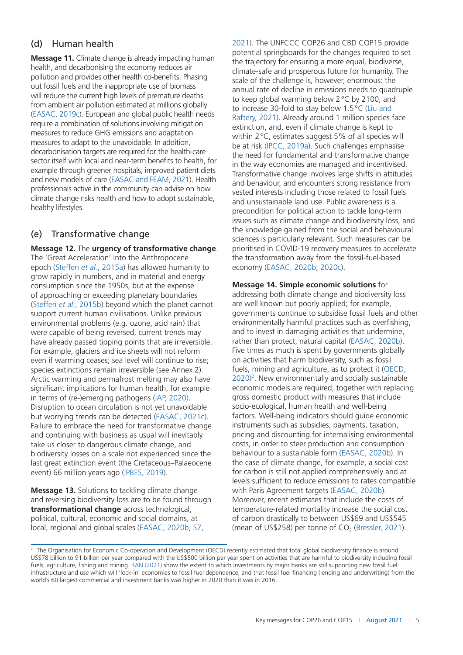# (d) Human health

**Message 11.** Climate change is already impacting human health, and decarbonising the economy reduces air pollution and provides other health co-benefits. Phasing out fossil fuels and the inappropriate use of biomass will reduce the current high levels of premature deaths from ambient air pollution estimated at millions globally (EASAC, [2019c](#page-13-0)). European and global public health needs require a combination of solutions involving mitigation measures to reduce GHG emissions and adaptation measures to adapt to the unavoidable. In addition, decarbonisation targets are required for the health-care sector itself with local and near-term benefits to health, for example through greener hospitals, improved patient diets and new models of care (EASAC and FEAM, [2021\)](#page-14-0). Health professionals active in the community can advise on how climate change risks health and how to adopt sustainable, healthy lifestyles.

# (e) Transformative change

**Message 12.** The **urgency of transformative change**. The 'Great Acceleration' into the Anthropocene epoch (Steffen *et al.*, [2015a](#page-16-0)) has allowed humanity to grow rapidly in numbers, and in material and energy consumption since the 1950s, but at the expense of approaching or exceeding planetary boundaries (Steffen *et al.*, [2015b](#page-16-0)) beyond which the planet cannot support current human civilisations. Unlike previous environmental problems (e.g. ozone, acid rain) that were capable of being reversed, current trends may have already passed tipping points that are irreversible. For example, glaciers and ice sheets will not reform even if warming ceases; sea level will continue to rise; species extinctions remain irreversible (see Annex 2). Arctic warming and permafrost melting may also have significant implications for human health, for example in terms of (re-)emerging pathogens (IAP, [2020\)](#page-14-0). Disruption to ocean circulation is not yet unavoidable but worrying trends can be detected (EASAC, [2021c\)](#page-14-0). Failure to embrace the need for transformative change and continuing with business as usual will inevitably take us closer to dangerous climate change, and biodiversity losses on a scale not experienced since the last great extinction event (the Cretaceous–Palaeocene event) 66 million years ago (IPBES, [2019](#page-14-0)).

**Message 13.** Solutions to tackling climate change and reversing biodiversity loss are to be found through **transformational change** across technological, political, cultural, economic and social domains, at local, regional and global scales (EASAC, [2020b,](#page-13-0) S7,

[2021\)](#page-15-0). The UNFCCC COP26 and CBD COP15 provide potential springboards for the changes required to set the trajectory for ensuring a more equal, biodiverse, climate-safe and prosperous future for humanity. The scale of the challenge is, however, enormous: the annual rate of decline in emissions needs to quadruple to keep global warming below 2°C by 2100, and to increase 30-fold to stay below 1.5°C (Liu and Raftery, [2021\)](#page-15-0). Already around 1 million species face extinction, and, even if climate change is kept to within 2°C, estimates suggest 5% of all species will be at risk (IPCC, [2019a](#page-14-0)). Such challenges emphasise the need for fundamental and transformative change in the way economies are managed and incentivised. Transformative change involves large shifts in attitudes and behaviour, and encounters strong resistance from vested interests including those related to fossil fuels and unsustainable land use. Public awareness is a precondition for political action to tackle long-term issues such as climate change and biodiversity loss, and the knowledge gained from the social and behavioural sciences is particularly relevant. Such measures can be prioritised in COVID-19 recovery measures to accelerate the transformation away from the fossil-fuel-based economy (EASAC, [2020b; 2020c\)](#page-13-0).

**Message 14. Simple economic solutions** for addressing both climate change and biodiversity loss are well known but poorly applied; for example, governments continue to subsidise fossil fuels and other environmentally harmful practices such as overfishing, and to invest in damaging activities that undermine, rather than protect, natural capital (EASAC, [2020b\)](#page-13-0). Five times as much is spent by governments globally on activities that harm biodiversity, such as fossil fuels, mining and agriculture, as to protect it (OECD, [2020\)](#page-15-0)<sup>2</sup>. New environmentally and socially sustainable economic models are required, together with replacing gross domestic product with measures that include socio-ecological, human health and well-being factors. Well-being indicators should guide economic instruments such as subsidies, payments, taxation, pricing and discounting for internalising environmental costs, in order to steer production and consumption behaviour to a sustainable form (EASAC, [2020b\)](#page-13-0). In the case of climate change, for example, a social cost for carbon is still not applied comprehensively and at levels sufficient to reduce emissions to rates compatible with Paris Agreement targets (EASAC, [2020b](#page-13-0)). Moreover, recent estimates that include the costs of temperature-related mortality increase the social cost of carbon drastically to between US\$69 and US\$545 (mean of US\$258) per tonne of  $CO<sub>2</sub>$  (Bressler, [2021](#page-12-0)).

<sup>&</sup>lt;sup>2</sup> The Organisation for Economic Co-operation and Development (OECD) recently estimated that total global biodiversity finance is around US\$78 billion to 91 billion per year compared with the US\$500 billion per year spent on activities that are harmful to biodiversity including fossil fuels, agriculture, fishing and mining. RAN [\(2021](#page-15-0)) show the extent to which investments by major banks are still supporting new fossil fuel infrastructure and use which will 'lock-in' economies to fossil fuel dependence; and that fossil fuel financing (lending and underwriting) from the world's 60 largest commercial and investment banks was higher in 2020 than it was in 2016.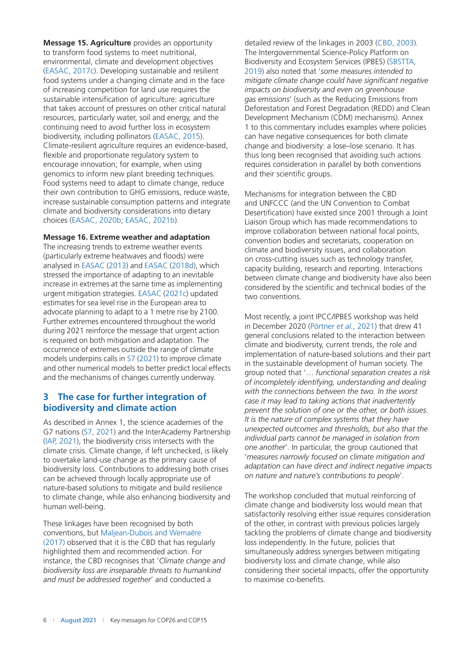**Message 15. Agriculture** provides an opportunity to transform food systems to meet nutritional, environmental, climate and development objectives (EASAC, [2017c\)](#page-13-0). Developing sustainable and resilient food systems under a changing climate and in the face of increasing competition for land use requires the sustainable intensification of agriculture: agriculture that takes account of pressures on other critical natural resources, particularly water, soil and energy, and the continuing need to avoid further loss in ecosystem biodiversity, including pollinators (EASAC, [2015\)](#page-13-0). Climate-resilient agriculture requires an evidence-based, flexible and proportionate regulatory system to encourage innovation; for example, when using genomics to inform new plant breeding techniques. Food systems need to adapt to climate change, reduce their own contribution to GHG emissions, reduce waste, increase sustainable consumption patterns and integrate climate and biodiversity considerations into dietary choices (EASAC, [2020b;](#page-13-0) EASAC, [2021b\)](#page-14-0).

#### **Message 16. Extreme weather and adaptation**

The increasing trends to extreme weather events (particularly extreme heatwaves and floods) were analysed in EASAC [\(2013](#page-13-0)) and EASAC [\(2018d\)](#page-13-0), which stressed the importance of adapting to an inevitable increase in extremes at the same time as implementing urgent mitigation strategies. EASAC ([2021c\)](#page-14-0) updated estimates for sea level rise in the European area to advocate planning to adapt to a 1 metre rise by 2100. Further extremes encountered throughout the world during 2021 reinforce the message that urgent action is required on both mitigation and adaptation. The occurrence of extremes outside the range of climate models underpins calls in S7 [\(2021](#page-15-0)) to improve climate and other numerical models to better predict local effects and the mechanisms of changes currently underway.

# **3 The case for further integration of biodiversity and climate action**

As described in Annex 1, the science academies of the G7 nations (S7, [2021](#page-15-0)) and the InterAcademy Partnership (IAP, [2021\)](#page-14-0), the biodiversity crisis intersects with the climate crisis. Climate change, if left unchecked, is likely to overtake land-use change as the primary cause of biodiversity loss. Contributions to addressing both crises can be achieved through locally appropriate use of nature-based solutions to mitigate and build resilience to climate change, while also enhancing biodiversity and human well-being.

These linkages have been recognised by both conventions, but Maljean-Dubois and Wemaëre [\(2017\)](#page-15-0) observed that it is the CBD that has regularly highlighted them and recommended action. For instance, the CBD recognises that '*Climate change and biodiversity loss are inseparable threats to humankind and must be addressed together*' and conducted a

detailed review of the linkages in 2003 (CBD, [2003](#page-13-0))*.*  The Intergovernmental Science-Policy Platform on Biodiversity and Ecosystem Services (IPBES) (SBSTTA, [2019\)](#page-15-0) also noted that '*some measures intended to mitigate climate change could have significant negative impacts on biodiversity and even on greenhouse gas emissions*' (such as the Reducing Emissions from Deforestation and Forest Degradation (REDD) and Clean Development Mechanism (CDM) mechanisms). Annex 1 to this commentary includes examples where policies can have negative consequences for both climate change and biodiversity: a lose–lose scenario. It has thus long been recognised that avoiding such actions requires consideration in parallel by both conventions and their scientific groups.

Mechanisms for integration between the CBD and UNFCCC (and the UN Convention to Combat Desertification) have existed since 2001 through a Joint Liaison Group which has made recommendations to improve collaboration between national focal points, convention bodies and secretariats, cooperation on climate and biodiversity issues, and collaboration on cross-cutting issues such as technology transfer, capacity building, research and reporting. Interactions between climate change and biodiversity have also been considered by the scientific and technical bodies of the two conventions.

Most recently, a joint IPCC/IPBES workshop was held in December 2020 (Pörtner *et al.*, [2021\)](#page-15-0) that drew 41 general conclusions related to the interaction between climate and biodiversity, current trends, the role and implementation of nature-based solutions and their part in the sustainable development of human society. The group noted that '… *functional separation creates a risk of incompletely identifying, understanding and dealing with the connections between the two. In the worst case it may lead to taking actions that inadvertently prevent the solution of one or the other, or both issues. It is the nature of complex systems that they have unexpected outcomes and thresholds, but also that the individual parts cannot be managed in isolation from one another*'. In particular, the group cautioned that '*measures narrowly focused on climate mitigation and adaptation can have direct and indirect negative impacts on nature and nature's contributions to people*'.

The workshop concluded that mutual reinforcing of climate change and biodiversity loss would mean that satisfactorily resolving either issue requires consideration of the other, in contrast with previous policies largely tackling the problems of climate change and biodiversity loss independently. In the future, policies that simultaneously address synergies between mitigating biodiversity loss and climate change, while also considering their societal impacts, offer the opportunity to maximise co-benefits.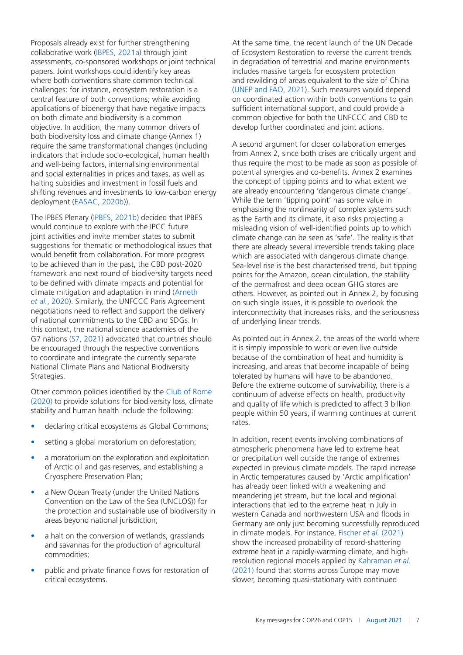Proposals already exist for further strengthening collaborative work (IBPES, [2021a](#page-14-0)) through joint assessments, co-sponsored workshops or joint technical papers. Joint workshops could identify key areas where both conventions share common technical challenges: for instance, ecosystem restoration is a central feature of both conventions; while avoiding applications of bioenergy that have negative impacts on both climate and biodiversity is a common objective. In addition, the many common drivers of both biodiversity loss and climate change (Annex 1) require the same transformational changes (including indicators that include socio-ecological, human health and well-being factors, internalising environmental and social externalities in prices and taxes, as well as halting subsidies and investment in fossil fuels and shifting revenues and investments to low-carbon energy deployment (EASAC, [2020b](#page-13-0))).

The IPBES Plenary (IPBES, [2021b\)](#page-14-0) decided that IPBES would continue to explore with the IPCC future joint activities and invite member states to submit suggestions for thematic or methodological issues that would benefit from collaboration. For more progress to be achieved than in the past, the CBD post-2020 framework and next round of biodiversity targets need to be defined with climate impacts and potential for climate mitigation and adaptation in mind (Arneth *et al.*, [2020\)](#page-12-0). Similarly, the UNFCCC Paris Agreement negotiations need to reflect and support the delivery of national commitments to the CBD and SDGs. In this context, the national science academies of the G7 nations (S7, [2021](#page-15-0)) advocated that countries should be encouraged through the respective conventions to coordinate and integrate the currently separate National Climate Plans and National Biodiversity Strategies.

Other common policies identified by the Club of Rome [\(2020\)](#page-13-0) to provide solutions for biodiversity loss, climate stability and human health include the following:

- declaring critical ecosystems as Global Commons;
- setting a global moratorium on deforestation;
- a moratorium on the exploration and exploitation of Arctic oil and gas reserves, and establishing a Cryosphere Preservation Plan;
- a New Ocean Treaty (under the United Nations Convention on the Law of the Sea (UNCLOS)) for the protection and sustainable use of biodiversity in areas beyond national jurisdiction;
- a halt on the conversion of wetlands, grasslands and savannas for the production of agricultural commodities;
- public and private finance flows for restoration of critical ecosystems.

At the same time, the recent launch of the UN Decade of Ecosystem Restoration to reverse the current trends in degradation of terrestrial and marine environments includes massive targets for ecosystem protection and rewilding of areas equivalent to the size of China (UNEP and FAO, [2021](#page-16-0)). Such measures would depend on coordinated action within both conventions to gain sufficient international support, and could provide a common objective for both the UNFCCC and CBD to develop further coordinated and joint actions.

A second argument for closer collaboration emerges from Annex 2, since both crises are critically urgent and thus require the most to be made as soon as possible of potential synergies and co-benefits. Annex 2 examines the concept of tipping points and to what extent we are already encountering 'dangerous climate change'. While the term 'tipping point' has some value in emphasising the nonlinearity of complex systems such as the Earth and its climate, it also risks projecting a misleading vision of well-identified points up to which climate change can be seen as 'safe'. The reality is that there are already several irreversible trends taking place which are associated with dangerous climate change. Sea-level rise is the best characterised trend, but tipping points for the Amazon, ocean circulation, the stability of the permafrost and deep ocean GHG stores are others. However, as pointed out in Annex 2, by focusing on such single issues, it is possible to overlook the interconnectivity that increases risks, and the seriousness of underlying linear trends.

As pointed out in Annex 2, the areas of the world where it is simply impossible to work or even live outside because of the combination of heat and humidity is increasing, and areas that become incapable of being tolerated by humans will have to be abandoned. Before the extreme outcome of survivability, there is a continuum of adverse effects on health, productivity and quality of life which is predicted to affect 3 billion people within 50 years, if warming continues at current rates.

In addition, recent events involving combinations of atmospheric phenomena have led to extreme heat or precipitation well outside the range of extremes expected in previous climate models. The rapid increase in Arctic temperatures caused by 'Arctic amplification' has already been linked with a weakening and meandering jet stream, but the local and regional interactions that led to the extreme heat in July in western Canada and northwestern USA and floods in Germany are only just becoming successfully reproduced in climate models. For instance, Fischer *et al.* ([2021\)](#page-14-0) show the increased probability of record-shattering extreme heat in a rapidly-warming climate, and highresolution regional models applied by Kahraman *et al.* [\(2021\)](#page-14-0) found that storms across Europe may move slower, becoming quasi-stationary with continued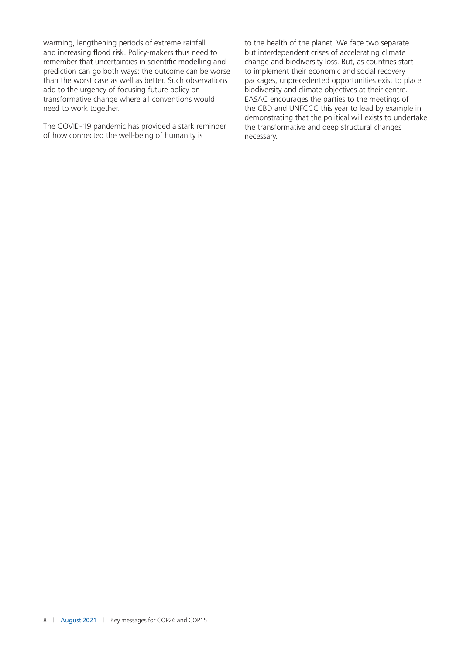warming, lengthening periods of extreme rainfall and increasing flood risk. Policy-makers thus need to remember that uncertainties in scientific modelling and prediction can go both ways: the outcome can be worse than the worst case as well as better. Such observations add to the urgency of focusing future policy on transformative change where all conventions would need to work together.

The COVID-19 pandemic has provided a stark reminder of how connected the well-being of humanity is

to the health of the planet. We face two separate but interdependent crises of accelerating climate change and biodiversity loss. But, as countries start to implement their economic and social recovery packages, unprecedented opportunities exist to place biodiversity and climate objectives at their centre. EASAC encourages the parties to the meetings of the CBD and UNFCCC this year to lead by example in demonstrating that the political will exists to undertake the transformative and deep structural changes necessary.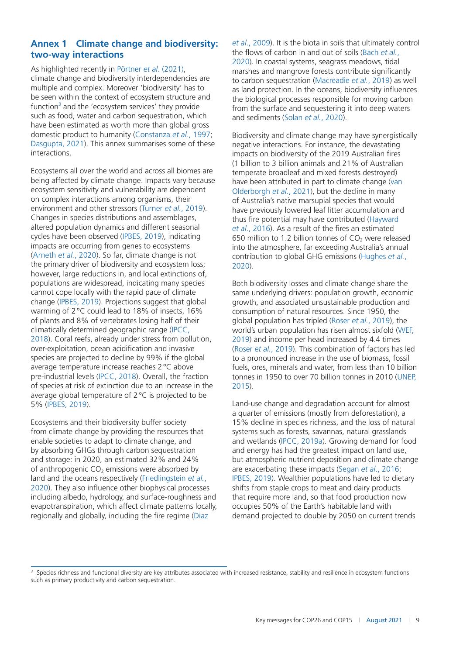# **Annex 1 Climate change and biodiversity: two-way interactions**

As highlighted recently in Pörtner *et al*. [\(2021](#page-15-0)), climate change and biodiversity interdependencies are multiple and complex. Moreover 'biodiversity' has to be seen within the context of ecosystem structure and function<sup>3</sup> and the 'ecosystem services' they provide such as food, water and carbon sequestration, which have been estimated as worth more than global gross domestic product to humanity (Constanza *et al*., [1997;](#page-13-0) Dasgupta, [2021](#page-13-0)). This annex summarises some of these interactions.

Ecosystems all over the world and across all biomes are being affected by climate change. Impacts vary because ecosystem sensitivity and vulnerability are dependent on complex interactions among organisms, their environment and other stressors (Turner *et al.*, [2019\)](#page-16-0). Changes in species distributions and assemblages, altered population dynamics and different seasonal cycles have been observed (IPBES, [2019](#page-14-0)), indicating impacts are occurring from genes to ecosystems (Arneth *et al.*, [2020\)](#page-12-0). So far, climate change is not the primary driver of biodiversity and ecosystem loss; however, large reductions in, and local extinctions of, populations are widespread, indicating many species cannot cope locally with the rapid pace of climate change (IPBES, [2019\)](#page-14-0). Projections suggest that global warming of 2°C could lead to 18% of insects, 16% of plants and 8% of vertebrates losing half of their climatically determined geographic range (IPCC, [2018\)](#page-14-0). Coral reefs, already under stress from pollution, over-exploitation, ocean acidification and invasive species are projected to decline by 99% if the global average temperature increase reaches 2°C above pre-industrial levels (IPCC, [2018](#page-14-0)). Overall, the fraction of species at risk of extinction due to an increase in the average global temperature of 2°C is projected to be 5% (IPBES, [2019](#page-14-0)).

Ecosystems and their biodiversity buffer society from climate change by providing the resources that enable societies to adapt to climate change, and by absorbing GHGs through carbon sequestration and storage: in 2020, an estimated 32% and 24% of anthropogenic  $CO<sub>2</sub>$  emissions were absorbed by land and the oceans respectively (Friedlingstein *et al.*, [2020\)](#page-14-0). They also influence other biophysical processes including albedo, hydrology, and surface-roughness and evapotranspiration, which affect climate patterns locally, regionally and globally, including the fire regime (Diaz

*et al*., [2009\)](#page-13-0). It is the biota in soils that ultimately control the flows of carbon in and out of soils (Bach *et al.*, [2020\)](#page-12-0). In coastal systems, seagrass meadows, tidal marshes and mangrove forests contribute significantly to carbon sequestration (Macreadie *et al.*, [2019](#page-15-0)) as well as land protection. In the oceans, biodiversity influences the biological processes responsible for moving carbon from the surface and sequestering it into deep waters and sediments (Solan *et al.*, [2020\)](#page-16-0).

Biodiversity and climate change may have synergistically negative interactions. For instance, the devastating impacts on biodiversity of the 2019 Australian fires (1 billion to 3 billion animals and 21% of Australian temperate broadleaf and mixed forests destroyed) have been attributed in part to climate change (van Olderborgh *et al.*, [2021](#page-16-0)), but the decline in many of Australia's native marsupial species that would have previously lowered leaf litter accumulation and thus fire potential may have contributed (Hayward *et al*., [2016\)](#page-14-0). As a result of the fires an estimated 650 million to 1.2 billion tonnes of  $CO<sub>2</sub>$  were released into the atmosphere, far exceeding Australia's annual contribution to global GHG emissions (Hughes *et al.*, [2020\)](#page-14-0).

Both biodiversity losses and climate change share the same underlying drivers: population growth, economic growth, and associated unsustainable production and consumption of natural resources. Since 1950, the global population has tripled (Roser *et al.*, [2019](#page-15-0)), the world's urban population has risen almost sixfold (WEF, [2019\)](#page-16-0) and income per head increased by 4.4 times (Roser *et al.*, [2019](#page-15-0)). This combination of factors has led to a pronounced increase in the use of biomass, fossil fuels, ores, minerals and water, from less than 10 billion tonnes in 1950 to over 70 billion tonnes in 2010 (UNEP, [2015\)](#page-16-0).

Land-use change and degradation account for almost a quarter of emissions (mostly from deforestation), a 15% decline in species richness, and the loss of natural systems such as forests, savannas, natural grasslands and wetlands (IPCC, [2019a\)](#page-14-0). Growing demand for food and energy has had the greatest impact on land use, but atmospheric nutrient deposition and climate change are exacerbating these impacts (Segan *et al*., [2016](#page-16-0); IPBES, [2019](#page-14-0)). Wealthier populations have led to dietary shifts from staple crops to meat and dairy products that require more land, so that food production now occupies 50% of the Earth's habitable land with demand projected to double by 2050 on current trends

<sup>3</sup> Species richness and functional diversity are key attributes associated with increased resistance, stability and resilience in ecosystem functions such as primary productivity and carbon sequestration.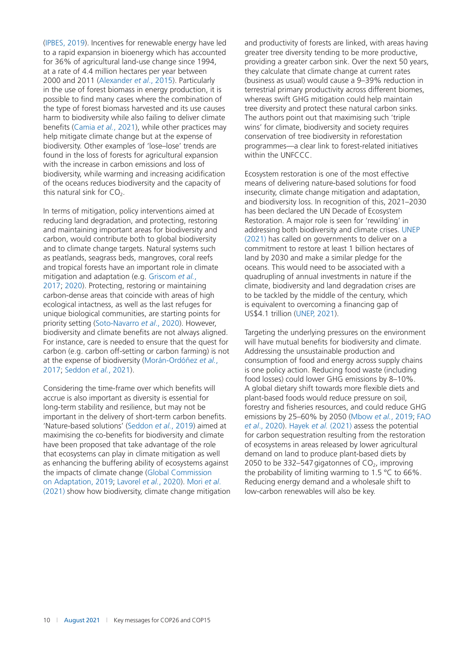(IPBES, [2019](#page-14-0)). Incentives for renewable energy have led to a rapid expansion in bioenergy which has accounted for 36% of agricultural land-use change since 1994, at a rate of 4.4 million hectares per year between 2000 and 2011 (Alexander *et al*., [2015\)](#page-12-0). Particularly in the use of forest biomass in energy production, it is possible to find many cases where the combination of the type of forest biomass harvested and its use causes harm to biodiversity while also failing to deliver climate benefits (Camia *et al.*, [2021](#page-13-0)), while other practices may help mitigate climate change but at the expense of biodiversity. Other examples of 'lose–lose' trends are found in the loss of forests for agricultural expansion with the increase in carbon emissions and loss of biodiversity, while warming and increasing acidification of the oceans reduces biodiversity and the capacity of this natural sink for  $CO<sub>2</sub>$ .

In terms of mitigation, policy interventions aimed at reducing land degradation, and protecting, restoring and maintaining important areas for biodiversity and carbon, would contribute both to global biodiversity and to climate change targets. Natural systems such as peatlands, seagrass beds, mangroves, coral reefs and tropical forests have an important role in climate mitigation and adaptation (e.g. Griscom *et al.*, [2017; 2020\)](#page-14-0). Protecting, restoring or maintaining carbon-dense areas that coincide with areas of high ecological intactness, as well as the last refuges for unique biological communities, are starting points for priority setting (Soto-Navarro *et al*., [2020\)](#page-16-0). However, biodiversity and climate benefits are not always aligned. For instance, care is needed to ensure that the quest for carbon (e.g. carbon off-setting or carbon farming) is not at the expense of biodiversity (Morán-Ordóñez *et al.*, [2017;](#page-15-0) Seddon *et al.*, [2021](#page-15-0)).

Considering the time-frame over which benefits will accrue is also important as diversity is essential for long-term stability and resilience, but may not be important in the delivery of short-term carbon benefits. 'Nature-based solutions' (Seddon *et al.*, [2019](#page-15-0)) aimed at maximising the co-benefits for biodiversity and climate have been proposed that take advantage of the role that ecosystems can play in climate mitigation as well as enhancing the buffering ability of ecosystems against the impacts of climate change (Global Commission on Adaptation, [2019](#page-14-0); Lavorel *et al.*, [2020](#page-15-0)). Mori *et al*. [\(2021\)](#page-15-0) show how biodiversity, climate change mitigation and productivity of forests are linked, with areas having greater tree diversity tending to be more productive, providing a greater carbon sink. Over the next 50 years, they calculate that climate change at current rates (business as usual) would cause a 9–39% reduction in terrestrial primary productivity across different biomes, whereas swift GHG mitigation could help maintain tree diversity and protect these natural carbon sinks. The authors point out that maximising such 'triple wins' for climate, biodiversity and society requires conservation of tree biodiversity in reforestation programmes—a clear link to forest-related initiatives within the UNFCCC.

Ecosystem restoration is one of the most effective means of delivering nature-based solutions for food insecurity, climate change mitigation and adaptation, and biodiversity loss. In recognition of this, 2021–2030 has been declared the UN Decade of Ecosystem Restoration. A major role is seen for 'rewilding' in addressing both biodiversity and climate crises. UNEP [\(2021\)](#page-16-0) has called on governments to deliver on a commitment to restore at least 1 billion hectares of land by 2030 and make a similar pledge for the oceans. This would need to be associated with a quadrupling of annual investments in nature if the climate, biodiversity and land degradation crises are to be tackled by the middle of the century, which is equivalent to overcoming a financing gap of US\$4.1 trillion (UNEP, [2021](#page-16-0)).

Targeting the underlying pressures on the environment will have mutual benefits for biodiversity and climate. Addressing the unsustainable production and consumption of food and energy across supply chains is one policy action. Reducing food waste (including food losses) could lower GHG emissions by 8–10%. A global dietary shift towards more flexible diets and plant-based foods would reduce pressure on soil, forestry and fisheries resources, and could reduce GHG emissions by 25–60% by 2050 (Mbow *et al.*, [2019;](#page-15-0) FAO *et al*., [2020\)](#page-14-0). Hayek *et al.* [\(2021\)](#page-14-0) assess the potential for carbon sequestration resulting from the restoration of ecosystems in areas released by lower agricultural demand on land to produce plant-based diets by 2050 to be 332–547 gigatonnes of  $CO<sub>2</sub>$ , improving the probability of limiting warming to  $1.5 \text{°C}$  to  $66\%$ . Reducing energy demand and a wholesale shift to low-carbon renewables will also be key.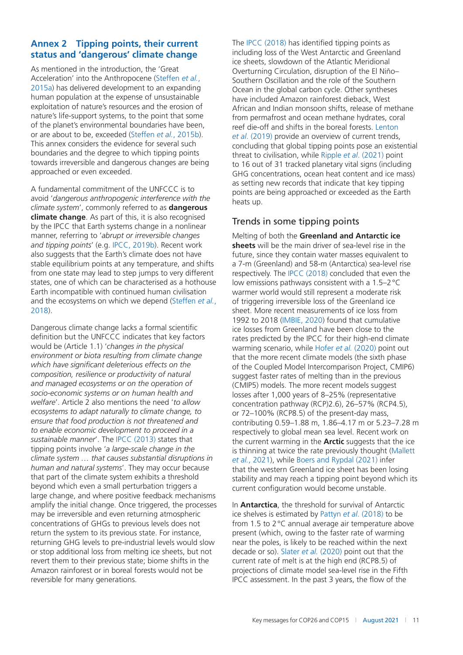# **Annex 2 Tipping points, their current status and 'dangerous' climate change**

As mentioned in the introduction, the 'Great Acceleration' into the Anthropocene (Steffen *et al.*, [2015a\)](#page-16-0) has delivered development to an expanding human population at the expense of unsustainable exploitation of nature's resources and the erosion of nature's life-support systems, to the point that some of the planet's environmental boundaries have been, or are about to be, exceeded (Steffen *et al.*, [2015b](#page-16-0)). This annex considers the evidence for several such boundaries and the degree to which tipping points towards irreversible and dangerous changes are being approached or even exceeded.

A fundamental commitment of the UNFCCC is to avoid '*dangerous anthropogenic interference with the climate system*', commonly referred to as **dangerous climate change**. As part of this, it is also recognised by the IPCC that Earth systems change in a nonlinear manner, referring to '*abrupt or irreversible changes and tipping points*' (e.g. IPCC, [2019b\)](#page-14-0). Recent work also suggests that the Earth's climate does not have stable equilibrium points at any temperature, and shifts from one state may lead to step jumps to very different states, one of which can be characterised as a hothouse Earth incompatible with continued human civilisation and the ecosystems on which we depend (Steffen *et al.*, [2018\)](#page-16-0).

Dangerous climate change lacks a formal scientific definition but the UNFCCC indicates that key factors would be (Article 1.1) '*changes in the physical environment or biota resulting from climate change which have significant deleterious effects on the composition, resilience or productivity of natural and managed ecosystems or on the operation of socio-economic systems or on human health and welfare*'. Article 2 also mentions the need '*to allow ecosystems to adapt naturally to climate change, to ensure that food production is not threatened and to enable economic development to proceed in a sustainable manner*'. The IPCC [\(2013\)](#page-14-0) states that tipping points involve '*a large-scale change in the climate system … that causes substantial disruptions in human and natural systems*'. They may occur because that part of the climate system exhibits a threshold beyond which even a small perturbation triggers a large change, and where positive feedback mechanisms amplify the initial change. Once triggered, the processes may be irreversible and even returning atmospheric concentrations of GHGs to previous levels does not return the system to its previous state. For instance, returning GHG levels to pre-industrial levels would slow or stop additional loss from melting ice sheets, but not revert them to their previous state; biome shifts in the Amazon rainforest or in boreal forests would not be reversible for many generations.

The IPCC [\(2018](#page-14-0)) has identified tipping points as including loss of the West Antarctic and Greenland ice sheets, slowdown of the Atlantic Meridional Overturning Circulation, disruption of the El Niño– Southern Oscillation and the role of the Southern Ocean in the global carbon cycle. Other syntheses have included Amazon rainforest dieback, West African and Indian monsoon shifts, release of methane from permafrost and ocean methane hydrates, coral reef die-off and shifts in the boreal forests. Lenton *et al*. [\(2019\)](#page-15-0) provide an overview of current trends, concluding that global tipping points pose an existential threat to civilisation, while Ripple *et al*. [\(2021\)](#page-15-0) point to 16 out of 31 tracked planetary vital signs (including GHG concentrations, ocean heat content and ice mass) as setting new records that indicate that key tipping points are being approached or exceeded as the Earth heats up.

# Trends in some tipping points

Melting of both the **Greenland and Antarctic ice sheets** will be the main driver of sea-level rise in the future, since they contain water masses equivalent to a 7-m (Greenland) and 58-m (Antarctica) sea-level rise respectively. The IPCC [\(2018\)](#page-14-0) concluded that even the low emissions pathways consistent with a 1.5–2°C warmer world would still represent a moderate risk of triggering irreversible loss of the Greenland ice sheet. More recent measurements of ice loss from 1992 to 2018 (IMBIE, [2020\)](#page-14-0) found that cumulative ice losses from Greenland have been close to the rates predicted by the IPCC for their high-end climate warming scenario, while Hofer *et al.* ([2020\)](#page-14-0) point out that the more recent climate models (the sixth phase of the Coupled Model Intercomparison Project, CMIP6) suggest faster rates of melting than in the previous (CMIP5) models. The more recent models suggest losses after 1,000 years of 8–25% (representative concentration pathway (RCP)2.6), 26–57% (RCP4.5), or 72–100% (RCP8.5) of the present-day mass, contributing 0.59–1.88 m, 1.86–4.17 m or 5.23–7.28 m respectively to global mean sea level. Recent work on the current warming in the **Arctic** suggests that the ice is thinning at twice the rate previously thought (Mallett *et al.*, [2021\)](#page-15-0), while Boers and Rypdal [\(2021\)](#page-12-0) infer that the western Greenland ice sheet has been losing stability and may reach a tipping point beyond which its current configuration would become unstable.

In **Antarctica**, the threshold for survival of Antarctic ice shelves is estimated by Pattyn *et al*. [\(2018](#page-15-0)) to be from 1.5 to 2°C annual average air temperature above present (which, owing to the faster rate of warming near the poles, is likely to be reached within the next decade or so). Slater *et al.* ([2020\)](#page-16-0) point out that the current rate of melt is at the high end (RCP8.5) of projections of climate model sea-level rise in the Fifth IPCC assessment. In the past 3 years, the flow of the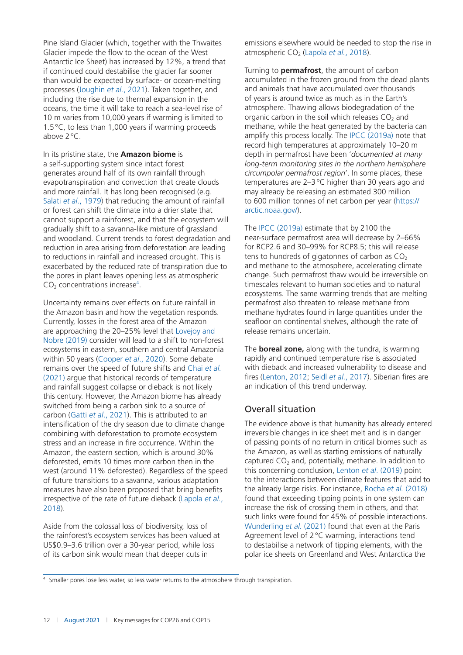Pine Island Glacier (which, together with the Thwaites Glacier impede the flow to the ocean of the West Antarctic Ice Sheet) has increased by 12%, a trend that if continued could destabilise the glacier far sooner than would be expected by surface- or ocean-melting processes (Joughin *et al.*, [2021\)](#page-14-0). Taken together, and including the rise due to thermal expansion in the oceans, the time it will take to reach a sea-level rise of 10 m varies from 10,000 years if warming is limited to 1.5°C, to less than 1,000 years if warming proceeds above 2°C.

In its pristine state, the **Amazon biome** is a self-supporting system since intact forest generates around half of its own rainfall through evapotranspiration and convection that create clouds and more rainfall. It has long been recognised (e.g. Salati *et al*., [1979](#page-15-0)) that reducing the amount of rainfall or forest can shift the climate into a drier state that cannot support a rainforest, and that the ecosystem will gradually shift to a savanna-like mixture of grassland and woodland. Current trends to forest degradation and reduction in area arising from deforestation are leading to reductions in rainfall and increased drought. This is exacerbated by the reduced rate of transpiration due to the pores in plant leaves opening less as atmospheric  $CO<sub>2</sub>$  concentrations increase<sup>4</sup>.

Uncertainty remains over effects on future rainfall in the Amazon basin and how the vegetation responds. Currently, losses in the forest area of the Amazon are approaching the 20–25% level that Lovejoy and Nobre [\(2019](#page-15-0)) consider will lead to a shift to non-forest ecosystems in eastern, southern and central Amazonia within 50 years (Cooper *et al*., [2020\)](#page-13-0). Some debate remains over the speed of future shifts and Chai *et al.* [\(2021\)](#page-13-0) argue that historical records of temperature and rainfall suggest collapse or dieback is not likely this century. However, the Amazon biome has already switched from being a carbon sink to a source of carbon (Gatti *et al*., [2021\)](#page-14-0). This is attributed to an intensification of the dry season due to climate change combining with deforestation to promote ecosystem stress and an increase in fire occurrence. Within the Amazon, the eastern section, which is around 30% deforested, emits 10 times more carbon then in the west (around 11% deforested). Regardless of the speed of future transitions to a savanna, various adaptation measures have also been proposed that bring benefits irrespective of the rate of future dieback (Lapola *et al.*, [2018\)](#page-15-0).

Aside from the colossal loss of biodiversity, loss of the rainforest's ecosystem services has been valued at US\$0.9–3.6 trillion over a 30-year period, while loss of its carbon sink would mean that deeper cuts in

emissions elsewhere would be needed to stop the rise in atmospheric CO<sub>2</sub> (Lapola *et al.*, [2018\)](#page-15-0).

Turning to **permafrost**, the amount of carbon accumulated in the frozen ground from the dead plants and animals that have accumulated over thousands of years is around twice as much as in the Earth's atmosphere. Thawing allows biodegradation of the organic carbon in the soil which releases  $CO<sub>2</sub>$  and methane, while the heat generated by the bacteria can amplify this process locally. The IPCC ([2019a](#page-14-0)) note that record high temperatures at approximately 10–20 m depth in permafrost have been '*documented at many long-term monitoring sites in the northern hemisphere circumpolar permafrost region*'. In some places, these temperatures are 2–3°C higher than 30 years ago and may already be releasing an estimated 300 million to 600 million tonnes of net carbon per year [\(https://](https://arctic.noaa.gov/) [arctic.noaa.gov/](https://arctic.noaa.gov/)).

The IPCC [\(2019a](#page-14-0)) estimate that by 2100 the near-surface permafrost area will decrease by 2–66% for RCP2.6 and 30–99% for RCP8.5; this will release tens to hundreds of gigatonnes of carbon as  $CO<sub>2</sub>$ and methane to the atmosphere, accelerating climate change. Such permafrost thaw would be irreversible on timescales relevant to human societies and to natural ecosystems. The same warming trends that are melting permafrost also threaten to release methane from methane hydrates found in large quantities under the seafloor on continental shelves, although the rate of release remains uncertain.

The **boreal zone,** along with the tundra, is warming rapidly and continued temperature rise is associated with dieback and increased vulnerability to disease and fires (Lenton, [2012](#page-15-0); Seidl *et al.*, [2017](#page-16-0)). Siberian fires are an indication of this trend underway.

# Overall situation

The evidence above is that humanity has already entered irreversible changes in ice sheet melt and is in danger of passing points of no return in critical biomes such as the Amazon, as well as starting emissions of naturally captured  $CO<sub>2</sub>$  and, potentially, methane. In addition to this concerning conclusion, Lenton *et al*. [\(2019](#page-15-0)) point to the interactions between climate features that add to the already large risks. For instance, Rocha *et al.* [\(2018\)](#page-15-0) found that exceeding tipping points in one system can increase the risk of crossing them in others, and that such links were found for 45% of possible interactions. Wunderling *et al.* ([2021](#page-16-0)) found that even at the Paris Agreement level of 2°C warming, interactions tend to destabilise a network of tipping elements, with the polar ice sheets on Greenland and West Antarctica the

<sup>&</sup>lt;sup>4</sup> Smaller pores lose less water, so less water returns to the atmosphere through transpiration.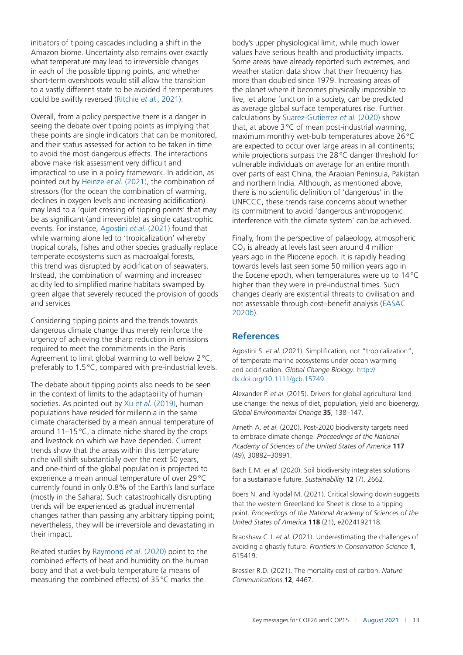<span id="page-12-0"></span>initiators of tipping cascades including a shift in the Amazon biome. Uncertainty also remains over exactly what temperature may lead to irreversible changes in each of the possible tipping points, and whether short-term overshoots would still allow the transition to a vastly different state to be avoided if temperatures could be swiftly reversed (Ritchie *et al.*, [2021](#page-15-0)).

Overall, from a policy perspective there is a danger in seeing the debate over tipping points as implying that these points are single indicators that can be monitored, and their status assessed for action to be taken in time to avoid the most dangerous effects. The interactions above make risk assessment very difficult and impractical to use in a policy framework. In addition, as pointed out by Heinze *et al.* ([2021\)](#page-14-0), the combination of stressors (for the ocean the combination of warming, declines in oxygen levels and increasing acidification) may lead to a 'quiet crossing of tipping points' that may be as significant (and irreversible) as single catastrophic events. For instance, Agostini *et al.* (2021) found that while warming alone led to 'tropicalization' whereby tropical corals, fishes and other species gradually replace temperate ecosystems such as macroalgal forests, this trend was disrupted by acidification of seawaters. Instead, the combination of warming and increased acidity led to simplified marine habitats swamped by green algae that severely reduced the provision of goods and services

Considering tipping points and the trends towards dangerous climate change thus merely reinforce the urgency of achieving the sharp reduction in emissions required to meet the commitments in the Paris Agreement to limit global warming to well below 2 °C, preferably to 1.5°C, compared with pre-industrial levels.

The debate about tipping points also needs to be seen in the context of limits to the adaptability of human societies. As pointed out by Xu *et al.* ([2019](#page-16-0)), human populations have resided for millennia in the same climate characterised by a mean annual temperature of around 11–15°C, a climate niche shared by the crops and livestock on which we have depended. Current trends show that the areas within this temperature niche will shift substantially over the next 50 years, and one-third of the global population is projected to experience a mean annual temperature of over 29°C currently found in only 0.8% of the Earth's land surface (mostly in the Sahara). Such catastrophically disrupting trends will be experienced as gradual incremental changes rather than passing any arbitrary tipping point; nevertheless, they will be irreversible and devastating in their impact.

Related studies by Raymond *et al*. ([2020\)](#page-15-0) point to the combined effects of heat and humidity on the human body and that a wet-bulb temperature (a means of measuring the combined effects) of 35°C marks the

body's upper physiological limit, while much lower values have serious health and productivity impacts. Some areas have already reported such extremes, and weather station data show that their frequency has more than doubled since 1979. Increasing areas of the planet where it becomes physically impossible to live, let alone function in a society, can be predicted as average global surface temperatures rise. Further calculations by Suarez-Gutierrez *et al.* ([2020](#page-16-0)) show that, at above 3°C of mean post-industrial warming, maximum monthly wet-bulb temperatures above 26°C are expected to occur over large areas in all continents; while projections surpass the 28°C danger threshold for vulnerable individuals on average for an entire month over parts of east China, the Arabian Peninsula, Pakistan and northern India. Although, as mentioned above, there is no scientific definition of 'dangerous' in the UNFCCC, these trends raise concerns about whether its commitment to avoid 'dangerous anthropogenic interference with the climate system' can be achieved.

Finally, from the perspective of palaeology, atmospheric  $CO<sub>2</sub>$  is already at levels last seen around 4 million years ago in the Pliocene epoch. It is rapidly heading towards levels last seen some 50 million years ago in the Eocene epoch, when temperatures were up to 14°C higher than they were in pre-industrial times. Such changes clearly are existential threats to civilisation and not assessable through cost–benefit analysis (EASAC [2020b](#page-13-0)).

# **References**

Agostini S. *et al.* (2021). Simplification, not "tropicalization", of temperate marine ecosystems under ocean warming and acidification. *Global Change Biology*. [http://](http://dx.doi.org/10.1111/gcb.15749) [dx.doi.org/10.1111/gcb.15749.](http://dx.doi.org/10.1111/gcb.15749)

Alexander P. *et al.* (2015). Drivers for global agricultural land use change: the nexus of diet, population, yield and bioenergy. *Global Environmental Change* **35**, 138–147.

Arneth A. *et al.* (2020). Post-2020 biodiversity targets need to embrace climate change. *Proceedings of the National Academy of Sciences of the United States of America* **117** (49), 30882–30891.

Bach E.M. *et al.* (2020). Soil biodiversity integrates solutions for a sustainable future. *Sustainability* **12** (7), 2662.

Boers N. and Rypdal M. (2021). Critical slowing down suggests that the western Greenland Ice Sheet is close to a tipping point. *Proceedings of the National Academy of Sciences of the United States of America* **118** (21), e2024192118.

Bradshaw C.J. *et al.* (2021). Underestimating the challenges of avoiding a ghastly future. *Frontiers in Conservation Science* **1**, 615419.

Bressler R.D. (2021). The mortality cost of carbon. *Nature Communications* **12**, 4467.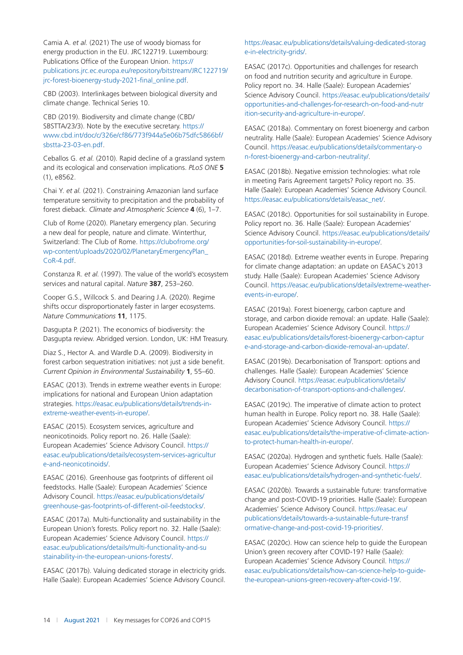<span id="page-13-0"></span>Camia A. *et al.* (2021) The use of woody biomass for energy production in the EU. JRC122719. Luxembourg: Publications Office of the European Union. [https://](https://publications.jrc.ec.europa.eu/repository/bitstream/JRC122719/jrc-forest-bioenergy-study-2021-final_online.pdf) [publications.jrc.ec.europa.eu/repository/bitstream/JRC122719/](https://publications.jrc.ec.europa.eu/repository/bitstream/JRC122719/jrc-forest-bioenergy-study-2021-final_online.pdf) [jrc-forest-bioenergy-study-2021-final\\_online.pdf.](https://publications.jrc.ec.europa.eu/repository/bitstream/JRC122719/jrc-forest-bioenergy-study-2021-final_online.pdf)

CBD (2003). Interlinkages between biological diversity and climate change. Technical Series 10.

CBD (2019). Biodiversity and climate change (CBD/ SBSTTA/23/3). Note by the executive secretary. [https://](https://www.cbd.int/doc/c/326e/cf86/773f944a5e06b75dfc5866bf/sbstta-23-03-en.pdf) [www.cbd.int/doc/c/326e/cf86/773f944a5e06b75dfc5866bf/](https://www.cbd.int/doc/c/326e/cf86/773f944a5e06b75dfc5866bf/sbstta-23-03-en.pdf) [sbstta-23-03-en.pdf](https://www.cbd.int/doc/c/326e/cf86/773f944a5e06b75dfc5866bf/sbstta-23-03-en.pdf).

Ceballos G. *et al.* (2010). Rapid decline of a grassland system and its ecological and conservation implications. *PLoS ONE* **5** (1), e8562.

Chai Y. *et al.* (2021). Constraining Amazonian land surface temperature sensitivity to precipitation and the probability of forest dieback. *Climate and Atmospheric Science* **4** (6), 1–7.

Club of Rome (2020). Planetary emergency plan. Securing a new deal for people, nature and climate. Winterthur, Switzerland: The Club of Rome. [https://clubofrome.org/](https://clubofrome.org/wp-content/uploads/2020/02/PlanetaryEmergencyPlan_CoR-4.pdf) [wp-content/uploads/2020/02/PlanetaryEmergencyPlan\\_](https://clubofrome.org/wp-content/uploads/2020/02/PlanetaryEmergencyPlan_CoR-4.pdf) [CoR-4.pdf](https://clubofrome.org/wp-content/uploads/2020/02/PlanetaryEmergencyPlan_CoR-4.pdf).

Constanza R. *et al.* (1997). The value of the world's ecosystem services and natural capital. *Nature* **387**, 253–260.

Cooper G.S., Willcock S. and Dearing J.A. (2020). Regime shifts occur disproportionately faster in larger ecosystems. *Nature Communications* **11**, 1175.

Dasgupta P. (2021). The economics of biodiversity: the Dasgupta review. Abridged version. London, UK: HM Treasury.

Diaz S., Hector A. and Wardle D.A. (2009). Biodiversity in forest carbon sequestration initiatives: not just a side benefit. *Current Opinion in Environmental Sustainability* **1**, 55–60.

EASAC (2013). Trends in extreme weather events in Europe: implications for national and European Union adaptation strategies. [https://easac.eu/publications/details/trends-in](https://easac.eu/publications/details/trends-in-extreme-weather-events-in-europe/)[extreme-weather-events-in-europe/](https://easac.eu/publications/details/trends-in-extreme-weather-events-in-europe/).

EASAC (2015). Ecosystem services, agriculture and neonicotinoids. Policy report no. 26. Halle (Saale): European Academies' Science Advisory Council. [https://](https://easac.eu/publications/details/ecosystem-services-agriculture-and-neonicotinoids/) [easac.eu/publications/details/ecosystem-services-agricultur](https://easac.eu/publications/details/ecosystem-services-agriculture-and-neonicotinoids/) [e-and-neonicotinoids/](https://easac.eu/publications/details/ecosystem-services-agriculture-and-neonicotinoids/).

EASAC (2016). Greenhouse gas footprints of different oil feedstocks. Halle (Saale): European Academies' Science Advisory Council. [https://easac.eu/publications/details/](https://easac.eu/publications/details/greenhouse-gas-footprints-of-different-oil-feedstocks/) [greenhouse-gas-footprints-of-different-oil-feedstocks/.](https://easac.eu/publications/details/greenhouse-gas-footprints-of-different-oil-feedstocks/)

EASAC (2017a). Multi-functionality and sustainability in the European Union's forests. Policy report no. 32. Halle (Saale): European Academies' Science Advisory Council. [https://](https://easac.eu/publications/details/multi-functionality-and-sustainability-in-the-european-unions-forests/) [easac.eu/publications/details/multi-functionality-and-su](https://easac.eu/publications/details/multi-functionality-and-sustainability-in-the-european-unions-forests/) [stainability-in-the-european-unions-forests/](https://easac.eu/publications/details/multi-functionality-and-sustainability-in-the-european-unions-forests/).

EASAC (2017b). Valuing dedicated storage in electricity grids. Halle (Saale): European Academies' Science Advisory Council.

#### [https://easac.eu/publications/details/valuing-dedicated-storag](https://easac.eu/publications/details/valuing-dedicated-storage-in-electricity-grids/) [e-in-electricity-grids/](https://easac.eu/publications/details/valuing-dedicated-storage-in-electricity-grids/).

EASAC (2017c). Opportunities and challenges for research on food and nutrition security and agriculture in Europe. Policy report no. 34. Halle (Saale): European Academies' Science Advisory Council. [https://easac.eu/publications/details/](https://easac.eu/publications/details/opportunities-and-challenges-for-research-on-food-and-nutrition-security-and-agriculture-in-europe/) [opportunities-and-challenges-for-research-on-food-and-nutr](https://easac.eu/publications/details/opportunities-and-challenges-for-research-on-food-and-nutrition-security-and-agriculture-in-europe/) [ition-security-and-agriculture-in-europe/](https://easac.eu/publications/details/opportunities-and-challenges-for-research-on-food-and-nutrition-security-and-agriculture-in-europe/).

EASAC (2018a). Commentary on forest bioenergy and carbon neutrality. Halle (Saale): European Academies' Science Advisory Council. [https://easac.eu/publications/details/commentary-o](https://easac.eu/publications/details/commentary-on-forest-bioenergy-and-carbon-neutrality/) [n-forest-bioenergy-and-carbon-neutrality/.](https://easac.eu/publications/details/commentary-on-forest-bioenergy-and-carbon-neutrality/)

EASAC (2018b). Negative emission technologies: what role in meeting Paris Agreement targets? Policy report no. 35. Halle (Saale): European Academies' Science Advisory Council. [https://easac.eu/publications/details/easac\\_net/](https://easac.eu/publications/details/easac_net/).

EASAC (2018c). Opportunities for soil sustainability in Europe. Policy report no. 36. Halle (Saale): European Academies' Science Advisory Council. [https://easac.eu/publications/details/](https://easac.eu/publications/details/opportunities-for-soil-sustainability-in-europe/) [opportunities-for-soil-sustainability-in-europe/.](https://easac.eu/publications/details/opportunities-for-soil-sustainability-in-europe/)

EASAC (2018d). Extreme weather events in Europe. Preparing for climate change adaptation: an update on EASAC's 2013 study. Halle (Saale): European Academies' Science Advisory Council. [https://easac.eu/publications/details/extreme-weather](https://easac.eu/publications/details/extreme-weather-events-in-europe/)[events-in-europe/](https://easac.eu/publications/details/extreme-weather-events-in-europe/).

EASAC (2019a). Forest bioenergy, carbon capture and storage, and carbon dioxide removal: an update. Halle (Saale): European Academies' Science Advisory Council. [https://](https://easac.eu/publications/details/forest-bioenergy-carbon-capture-and-storage-and-carbon-dioxide-removal-an-update/) [easac.eu/publications/details/forest-bioenergy-carbon-captur](https://easac.eu/publications/details/forest-bioenergy-carbon-capture-and-storage-and-carbon-dioxide-removal-an-update/) [e-and-storage-and-carbon-dioxide-removal-an-update/.](https://easac.eu/publications/details/forest-bioenergy-carbon-capture-and-storage-and-carbon-dioxide-removal-an-update/)

EASAC (2019b). Decarbonisation of Transport: options and challenges. Halle (Saale): European Academies' Science Advisory Council. [https://easac.eu/publications/details/](https://easac.eu/publications/details/decarbonisation-of-transport-options-and-challenges/) [decarbonisation-of-transport-options-and-challenges/](https://easac.eu/publications/details/decarbonisation-of-transport-options-and-challenges/).

EASAC (2019c). The imperative of climate action to protect human health in Europe. Policy report no. 38. Halle (Saale): European Academies' Science Advisory Council. [https://](https://easac.eu/publications/details/the-imperative-of-climate-action-to-protect-human-health-in-europe/) [easac.eu/publications/details/the-imperative-of-climate-action](https://easac.eu/publications/details/the-imperative-of-climate-action-to-protect-human-health-in-europe/)[to-protect-human-health-in-europe/](https://easac.eu/publications/details/the-imperative-of-climate-action-to-protect-human-health-in-europe/).

EASAC (2020a). Hydrogen and synthetic fuels. Halle (Saale): European Academies' Science Advisory Council. [https://](https://easac.eu/publications/details/hydrogen-and-synthetic-fuels/) [easac.eu/publications/details/hydrogen-and-synthetic-fuels/](https://easac.eu/publications/details/hydrogen-and-synthetic-fuels/).

EASAC (2020b). Towards a sustainable future: transformative change and post-COVID-19 priorities. Halle (Saale): European Academies' Science Advisory Council. [https://easac.eu/](https://easac.eu/publications/details/towards-a-sustainable-future-transformative-change-and-post-covid-19-priorities/) [publications/details/towards-a-sustainable-future-transf](https://easac.eu/publications/details/towards-a-sustainable-future-transformative-change-and-post-covid-19-priorities/) [ormative-change-and-post-covid-19-priorities/.](https://easac.eu/publications/details/towards-a-sustainable-future-transformative-change-and-post-covid-19-priorities/)

EASAC (2020c). How can science help to guide the European Union's green recovery after COVID-19? Halle (Saale): European Academies' Science Advisory Council. [https://](https://easac.eu/publications/details/how-can-science-help-to-guide-the-european-unions-green-recovery-after-covid-19/) [easac.eu/publications/details/how-can-science-help-to-guide](https://easac.eu/publications/details/how-can-science-help-to-guide-the-european-unions-green-recovery-after-covid-19/)[the-european-unions-green-recovery-after-covid-19/.](https://easac.eu/publications/details/how-can-science-help-to-guide-the-european-unions-green-recovery-after-covid-19/)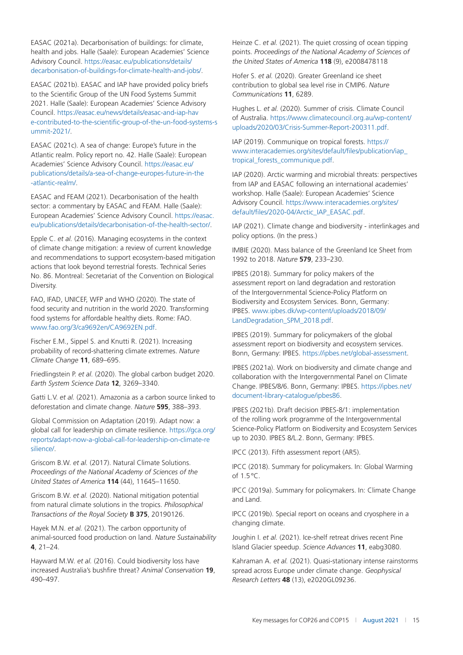<span id="page-14-0"></span>EASAC (2021a). Decarbonisation of buildings: for climate, health and jobs. Halle (Saale): European Academies' Science Advisory Council. [https://easac.eu/publications/details/](https://easac.eu/publications/details/decarbonisation-of-buildings-for-climate-health-and-jobs/) [decarbonisation-of-buildings-for-climate-health-and-jobs/.](https://easac.eu/publications/details/decarbonisation-of-buildings-for-climate-health-and-jobs/)

EASAC (2021b). EASAC and IAP have provided policy briefs to the Scientific Group of the UN Food Systems Summit 2021. Halle (Saale): European Academies' Science Advisory Council. [https://easac.eu/news/details/easac-and-iap-hav](https://easac.eu/news/details/easac-and-iap-have-contributed-to-the-scientific-group-of-the-un-food-systems-summit-2021/) [e-contributed-to-the-scientific-group-of-the-un-food-systems-s](https://easac.eu/news/details/easac-and-iap-have-contributed-to-the-scientific-group-of-the-un-food-systems-summit-2021/) [ummit-2021/](https://easac.eu/news/details/easac-and-iap-have-contributed-to-the-scientific-group-of-the-un-food-systems-summit-2021/).

EASAC (2021c). A sea of change: Europe's future in the Atlantic realm. Policy report no. 42. Halle (Saale): European Academies' Science Advisory Council. [https://easac.eu/](https://easac.eu/publications/details/a-sea-of-change-europes-future-in-the-atlantic-realm/) [publications/details/a-sea-of-change-europes-future-in-the](https://easac.eu/publications/details/a-sea-of-change-europes-future-in-the-atlantic-realm/) [-atlantic-realm/.](https://easac.eu/publications/details/a-sea-of-change-europes-future-in-the-atlantic-realm/)

EASAC and FEAM (2021). Decarbonisation of the health sector: a commentary by EASAC and FEAM. Halle (Saale): European Academies' Science Advisory Council. [https://easac.](https://easac.eu/publications/details/decarbonisation-of-the-health-sector/) [eu/publications/details/decarbonisation-of-the-health-sector/](https://easac.eu/publications/details/decarbonisation-of-the-health-sector/).

Epple C. *et al.* (2016). Managing ecosystems in the context of climate change mitigation: a review of current knowledge and recommendations to support ecosystem-based mitigation actions that look beyond terrestrial forests. Technical Series No. 86. Montreal: Secretariat of the Convention on Biological Diversity.

FAO, IFAD, UNICEF, WFP and WHO (2020). The state of food security and nutrition in the world 2020. Transforming food systems for affordable healthy diets. Rome: FAO. [www.fao.org/3/ca9692en/CA9692EN.pdf](http://www.fao.org/3/ca9692en/CA9692EN.pdf).

Fischer E.M., Sippel S. and Knutti R. (2021). Increasing probability of record-shattering climate extremes. *Nature Climate Change* **11**, 689–695.

Friedlingstein P. *et al.* (2020). The global carbon budget 2020. *Earth System Science Data* **12**, 3269–3340.

Gatti L.V. *et al.* (2021). Amazonia as a carbon source linked to deforestation and climate change. *Nature* **595**, 388–393.

Global Commission on Adaptation (2019). Adapt now: a global call for leadership on climate resilience. [https://gca.org/](https://gca.org/reports/adapt-now-a-global-call-for-leadership-on-climate-resilience/) [reports/adapt-now-a-global-call-for-leadership-on-climate-re](https://gca.org/reports/adapt-now-a-global-call-for-leadership-on-climate-resilience/) [silience/.](https://gca.org/reports/adapt-now-a-global-call-for-leadership-on-climate-resilience/)

Griscom B.W. *et al.* (2017). Natural Climate Solutions. *Proceedings of the National Academy of Sciences of the United States of America* **114** (44), 11645–11650.

Griscom B.W. *et al.* (2020). National mitigation potential from natural climate solutions in the tropics. *Philosophical Transactions of the Royal Society* **B 375**, 20190126.

Hayek M.N. *et al.* (2021). The carbon opportunity of animal-sourced food production on land. *Nature Sustainability* **4**, 21–24.

Hayward M.W. *et al.* (2016). Could biodiversity loss have increased Australia's bushfire threat? *Animal Conservation* **19**, 490–497.

Heinze C. *et al.* (2021). The quiet crossing of ocean tipping points. *Proceedings of the National Academy of Sciences of the United States of America* **118** (9), e2008478118

Hofer S. *et al.* (2020). Greater Greenland ice sheet contribution to global sea level rise in CMIP6. *Nature Communications* **11**, 6289.

Hughes L. *et al.* (2020). Summer of crisis. Climate Council of Australia. [https://www.climatecouncil.org.au/wp-content/](https://www.climatecouncil.org.au/wp-content/uploads/2020/03/Crisis-Summer-Report-200311.pdf) [uploads/2020/03/Crisis-Summer-Report-200311.pdf.](https://www.climatecouncil.org.au/wp-content/uploads/2020/03/Crisis-Summer-Report-200311.pdf)

IAP (2019). Communique on tropical forests. [https://](https://www.interacademies.org/sites/default/files/publication/iap_tropical_forests_communique.pdf) [www.interacademies.org/sites/default/files/publication/iap\\_](https://www.interacademies.org/sites/default/files/publication/iap_tropical_forests_communique.pdf) tropical forests communique.pdf.

IAP (2020). Arctic warming and microbial threats: perspectives from IAP and EASAC following an international academies' workshop. Halle (Saale): European Academies' Science Advisory Council. [https://www.interacademies.org/sites/](https://www.interacademies.org/sites/default/files/2020-04/Arctic_IAP_EASAC.pdf) [default/files/2020-04/Arctic\\_IAP\\_EASAC.pdf](https://www.interacademies.org/sites/default/files/2020-04/Arctic_IAP_EASAC.pdf).

IAP (2021). Climate change and biodiversity - interlinkages and policy options. (In the press.)

IMBIE (2020). Mass balance of the Greenland Ice Sheet from 1992 to 2018. *Nature* **579**, 233–230.

IPBES (2018). Summary for policy makers of the assessment report on land degradation and restoration of the Intergovernmental Science-Policy Platform on Biodiversity and Ecosystem Services. Bonn, Germany: IPBES. [www.ipbes.dk/wp-content/uploads/2018/09/](http://www.ipbes.dk/wp-content/uploads/2018/09/LandDegradation_SPM_2018.pdf) [LandDegradation\\_SPM\\_2018.pdf](http://www.ipbes.dk/wp-content/uploads/2018/09/LandDegradation_SPM_2018.pdf)

IPBES (2019). Summary for policymakers of the global assessment report on biodiversity and ecosystem services. Bonn, Germany: IPBES.<https://ipbes.net/global-assessment>.

IPBES (2021a). Work on biodiversity and climate change and collaboration with the Intergovernmental Panel on Climate Change. IPBES/8/6. Bonn, Germany: IPBES. [https://ipbes.net/](https://ipbes.net/document-library-catalogue/ipbes86) [document-library-catalogue/ipbes86](https://ipbes.net/document-library-catalogue/ipbes86).

IPBES (2021b). Draft decision IPBES-8/1: implementation of the rolling work programme of the Intergovernmental Science-Policy Platform on Biodiversity and Ecosystem Services up to 2030. IPBES 8/L.2. Bonn, Germany: IPBES.

IPCC (2013). Fifth assessment report (AR5).

IPCC (2018). Summary for policymakers. In: Global Warming of 1.5°C.

IPCC (2019a). Summary for policymakers. In: Climate Change and Land.

IPCC (2019b). Special report on oceans and cryosphere in a changing climate.

Joughin I. *et al.* (2021). Ice-shelf retreat drives recent Pine Island Glacier speedup. *Science Advances* **11**, eabg3080.

Kahraman A. *et al.* (2021). Quasi-stationary intense rainstorms spread across Europe under climate change. *Geophysical Research Letters* **48** (13), e2020GL09236.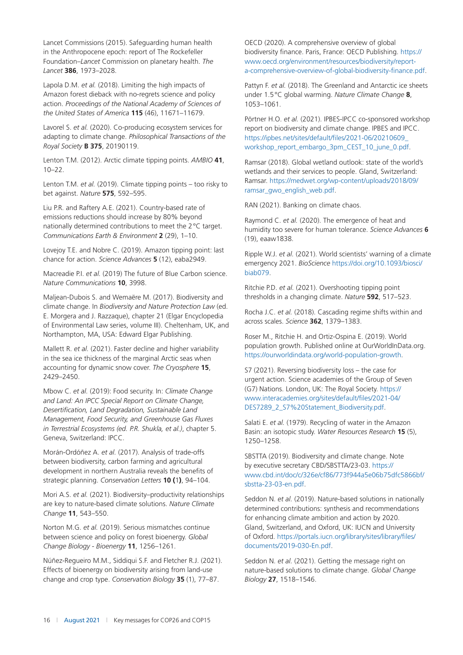<span id="page-15-0"></span>Lancet Commissions (2015). Safeguarding human health in the Anthropocene epoch: report of The Rockefeller Foundation–*Lancet* Commission on planetary health. *The Lancet* **386**, 1973–2028.

Lapola D.M. *et al.* (2018). Limiting the high impacts of Amazon forest dieback with no-regrets science and policy action. *Proceedings of the National Academy of Sciences of the United States of America* **115** (46), 11671–11679.

Lavorel S. *et al.* (2020). Co-producing ecosystem services for adapting to climate change. *Philosophical Transactions of the Royal Society* **B 375**, 20190119.

Lenton T.M. (2012). Arctic climate tipping points. *AMBIO* **41**, 10–22.

Lenton T.M. *et al.* (2019). Climate tipping points – too risky to bet against. *Nature* **575**, 592–595.

Liu P.R. and Raftery A.E. (2021). Country-based rate of emissions reductions should increase by 80% beyond nationally determined contributions to meet the 2°C target. *Communications Earth & Environment* **2** (29), 1–10.

Lovejoy T.E. and Nobre C. (2019). Amazon tipping point: last chance for action. *Science Advances* **5** (12), eaba2949.

Macreadie P.I. *et al.* (2019) The future of Blue Carbon science. *Nature Communications* **10**, 3998.

Maljean-Dubois S. and Wemaëre M. (2017). Biodiversity and climate change. In *Biodiversity and Nature Protection Law* (ed. E. Morgera and J. Razzaque), chapter 21 (Elgar Encyclopedia of Environmental Law series, volume III). Cheltenham, UK, and Northampton, MA, USA: Edward Elgar Publishing.

Mallett R. *et al.* (2021). Faster decline and higher variability in the sea ice thickness of the marginal Arctic seas when accounting for dynamic snow cover. *The Cryosphere* **15**, 2429–2450.

Mbow C. *et al.* (2019): Food security. In: *Climate Change and Land: An IPCC Special Report on Climate Change, Desertification, Land Degradation, Sustainable Land Management, Food Security, and Greenhouse Gas Fluxes in Terrestrial Ecosystems (ed. P.R. Shukla, et al.)*, chapter 5. Geneva, Switzerland: IPCC.

Morán-Ordóñez A. *et al.* (2017). Analysis of trade-offs between biodiversity, carbon farming and agricultural development in northern Australia reveals the benefits of strategic planning. *Conservation Letters* **10 (**1**)**, 94–104.

Mori A.S. *et al.* (2021). Biodiversity–productivity relationships are key to nature-based climate solutions. *Nature Climate Change* **11**, 543–550.

Norton M.G. *et al.* (2019). Serious mismatches continue between science and policy on forest bioenergy. *Global Change Biology - Bioenergy* **11**, 1256–1261.

Núñez-Regueiro M.M., Siddiqui S.F. and Fletcher R.J. (2021). Effects of bioenergy on biodiversity arising from land-use change and crop type. *Conservation Biology* **35** (1), 77–87.

OECD (2020). A comprehensive overview of global biodiversity finance. Paris, France: OECD Publishing. [https://](https://www.oecd.org/environment/resources/biodiversity/report-a-comprehensive-overview-of-global-biodiversity-finance.pdf) [www.oecd.org/environment/resources/biodiversity/report](https://www.oecd.org/environment/resources/biodiversity/report-a-comprehensive-overview-of-global-biodiversity-finance.pdf)[a-comprehensive-overview-of-global-biodiversity-finance.pdf](https://www.oecd.org/environment/resources/biodiversity/report-a-comprehensive-overview-of-global-biodiversity-finance.pdf).

Pattyn F. *et al.* (2018). The Greenland and Antarctic ice sheets under 1.5°C global warming. *Nature Climate Change* **8**, 1053–1061.

Pörtner H.O. *et al.* (2021). IPBES-IPCC co-sponsored workshop report on biodiversity and climate change. IPBES and IPCC. [https://ipbes.net/sites/default/files/2021-06/20210609\\_](https://ipbes.net/sites/default/files/2021-06/20210609_workshop_report_embargo_3pm_CEST_10_june_0.pdf) [workshop\\_report\\_embargo\\_3pm\\_CEST\\_10\\_june\\_0.pdf](https://ipbes.net/sites/default/files/2021-06/20210609_workshop_report_embargo_3pm_CEST_10_june_0.pdf).

Ramsar (2018). Global wetland outlook: state of the world's wetlands and their services to people. Gland, Switzerland: Ramsar. [https://medwet.org/wp-content/uploads/2018/09/](https://medwet.org/wp-content/uploads/2018/09/ramsar_gwo_english_web.pdf) [ramsar\\_gwo\\_english\\_web.pdf](https://medwet.org/wp-content/uploads/2018/09/ramsar_gwo_english_web.pdf).

RAN (2021). Banking on climate chaos.

Raymond C. *et al.* (2020). The emergence of heat and humidity too severe for human tolerance. *Science Advances* **6** (19), eaaw1838.

Ripple W.J. *et al.* (2021). World scientists' warning of a climate emergency 2021. *BioScience* [https://doi.org/10.1093/biosci/](https://doi.org/10.1093/biosci/biab079) [biab079](https://doi.org/10.1093/biosci/biab079).

Ritchie P.D. *et al.* (2021). Overshooting tipping point thresholds in a changing climate. *Nature* **592**, 517–523.

Rocha J.C. *et al.* (2018). Cascading regime shifts within and across scales. *Science* **362**, 1379–1383.

Roser M., Ritchie H. and Ortiz-Ospina E. (2019). World population growth. Published online at OurWorldInData.org. <https://ourworldindata.org/world-population-growth>.

S7 (2021). Reversing biodiversity loss – the case for urgent action. Science academies of the Group of Seven (G7) Nations. London, UK: The Royal Society. [https://](https://www.interacademies.org/sites/default/files/2021-04/DES7289_2_S7%20Statement_Biodiversity.pdf) [www.interacademies.org/sites/default/files/2021-04/](https://www.interacademies.org/sites/default/files/2021-04/DES7289_2_S7%20Statement_Biodiversity.pdf) [DES7289\\_2\\_S7%20Statement\\_Biodiversity.pdf.](https://www.interacademies.org/sites/default/files/2021-04/DES7289_2_S7%20Statement_Biodiversity.pdf)

Salati E. *et al.* (1979). Recycling of water in the Amazon Basin: an isotopic study. *Water Resources Research* **15** (5), 1250–1258.

SBSTTA (2019). Biodiversity and climate change. Note by executive secretary CBD/SBSTTA/23-03. [https://](https://www.cbd.int/doc/c/326e/cf86/773f944a5e06b75dfc5866bf/sbstta-23-03-en.pdf) [www.cbd.int/doc/c/326e/cf86/773f944a5e06b75dfc5866bf/](https://www.cbd.int/doc/c/326e/cf86/773f944a5e06b75dfc5866bf/sbstta-23-03-en.pdf) [sbstta-23-03-en.pdf](https://www.cbd.int/doc/c/326e/cf86/773f944a5e06b75dfc5866bf/sbstta-23-03-en.pdf).

Seddon N. *et al.* (2019). Nature-based solutions in nationally determined contributions: synthesis and recommendations for enhancing climate ambition and action by 2020. Gland, Switzerland, and Oxford, UK: IUCN and University of Oxford. [https://portals.iucn.org/library/sites/library/files/](https://portals.iucn.org/library/sites/library/files/documents/2019-030-En.pdf) [documents/2019-030-En.pdf.](https://portals.iucn.org/library/sites/library/files/documents/2019-030-En.pdf)

Seddon N. *et al.* (2021). Getting the message right on nature-based solutions to climate change. *Global Change Biology* **27**, 1518–1546.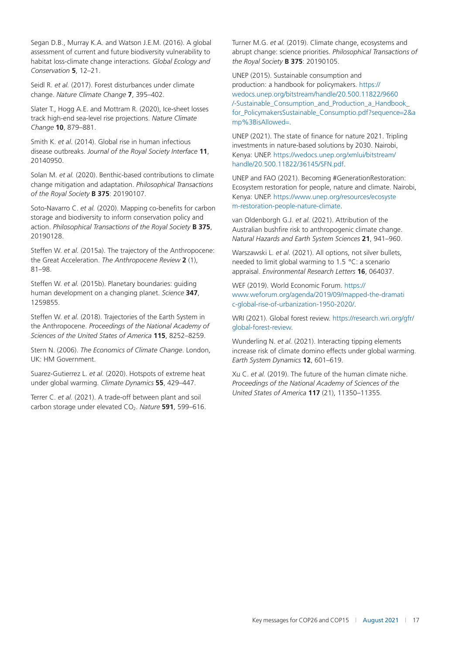<span id="page-16-0"></span>Segan D.B., Murray K.A. and Watson J.E.M. (2016). A global assessment of current and future biodiversity vulnerability to habitat loss-climate change interactions. *Global Ecology and Conservation* **5**, 12–21.

Seidl R. *et al.* (2017). Forest disturbances under climate change. *Nature Climate Change* **7**, 395–402.

Slater T., Hogg A.E. and Mottram R. (2020), Ice-sheet losses track high-end sea-level rise projections. *Nature Climate Change* **10**, 879–881.

Smith K. *et al.* (2014). Global rise in human infectious disease outbreaks. *Journal of the Royal Society Interface* **11**, 20140950.

Solan M. *et al.* (2020). Benthic-based contributions to climate change mitigation and adaptation. *Philosophical Transactions of the Royal Society* **B 375**: 20190107.

Soto-Navarro C. *et al.* (2020). Mapping co-benefits for carbon storage and biodiversity to inform conservation policy and action. *Philosophical Transactions of the Royal Society* **B 375**, 20190128.

Steffen W. *et al.* (2015a). The trajectory of the Anthropocene: the Great Acceleration. *The Anthropocene Review* **2** (1), 81–98.

Steffen W. *et al.* (2015b). Planetary boundaries: guiding human development on a changing planet. *Science* **347**, 1259855.

Steffen W. *et al.* (2018). Trajectories of the Earth System in the Anthropocene. *Proceedings of the National Academy of Sciences of the United States of America* **115**, 8252–8259.

Stern N. (2006). *The Economics of Climate Change*. London, UK: HM Government.

Suarez-Gutierrez L. *et al.* (2020). Hotspots of extreme heat under global warming. *Climate Dynamics* **55**, 429–447.

Terrer C. *et al.* (2021). A trade-off between plant and soil carbon storage under elevated CO<sub>2</sub>. Nature 591, 599-616. Turner M.G. *et al.* (2019). Climate change, ecosystems and abrupt change: science priorities. *Philosophical Transactions of the Royal Society* **B 375**: 20190105.

UNEP (2015). Sustainable consumption and production: a handbook for policymakers. [https://](https://wedocs.unep.org/bitstream/handle/20.500.11822/9660/-Sustainable_Consumption_and_Production_a_Handbook_for_PolicymakersSustainable_Consumptio.pdf?sequence=2%26amp%3BisAllowed=) [wedocs.unep.org/bitstream/handle/20.500.11822/9660](https://wedocs.unep.org/bitstream/handle/20.500.11822/9660/-Sustainable_Consumption_and_Production_a_Handbook_for_PolicymakersSustainable_Consumptio.pdf?sequence=2%26amp%3BisAllowed=) [/-Sustainable\\_Consumption\\_and\\_Production\\_a\\_Handbook\\_](https://wedocs.unep.org/bitstream/handle/20.500.11822/9660/-Sustainable_Consumption_and_Production_a_Handbook_for_PolicymakersSustainable_Consumptio.pdf?sequence=2%26amp%3BisAllowed=) [for\\_PolicymakersSustainable\\_Consumptio.pdf?sequence](https://wedocs.unep.org/bitstream/handle/20.500.11822/9660/-Sustainable_Consumption_and_Production_a_Handbook_for_PolicymakersSustainable_Consumptio.pdf?sequence=2%26amp%3BisAllowed=)=2&a [mp%3BisAllowed](https://wedocs.unep.org/bitstream/handle/20.500.11822/9660/-Sustainable_Consumption_and_Production_a_Handbook_for_PolicymakersSustainable_Consumptio.pdf?sequence=2%26amp%3BisAllowed=)=.

UNEP (2021). The state of finance for nature 2021. Tripling investments in nature-based solutions by 2030. Nairobi, Kenya: UNEP. [https://wedocs.unep.org/xmlui/bitstream/](https://wedocs.unep.org/xmlui/bitstream/handle/20.500.11822/36145/SFN.pdf) [handle/20.500.11822/36145/SFN.pdf](https://wedocs.unep.org/xmlui/bitstream/handle/20.500.11822/36145/SFN.pdf).

UNEP and FAO (2021). Becoming #GenerationRestoration: Ecosystem restoration for people, nature and climate. Nairobi, Kenya: UNEP. [https://www.unep.org/resources/ecosyste](https://www.unep.org/resources/ecosystem-restoration-people-nature-climate) [m-restoration-people-nature-climate.](https://www.unep.org/resources/ecosystem-restoration-people-nature-climate)

van Oldenborgh G.J. *et al.* (2021). Attribution of the Australian bushfire risk to anthropogenic climate change. *Natural Hazards and Earth System Sciences* **21**, 941–960.

Warszawski L. *et al.* (2021). All options, not silver bullets, needed to limit global warming to 1.5 °C: a scenario appraisal. *Environmental Research Letters* **16**, 064037.

WEF (2019). World Economic Forum. [https://](https://www.weforum.org/agenda/2019/09/mapped-the-dramatic-global-rise-of-urbanization-1950-2020/) [www.weforum.org/agenda/2019/09/mapped-the-dramati](https://www.weforum.org/agenda/2019/09/mapped-the-dramatic-global-rise-of-urbanization-1950-2020/) [c-global-rise-of-urbanization-1950-2020/.](https://www.weforum.org/agenda/2019/09/mapped-the-dramatic-global-rise-of-urbanization-1950-2020/)

WRI (2021). Global forest review. [https://research.wri.org/gfr/](https://research.wri.org/gfr/global-forest-review) [global-forest-review](https://research.wri.org/gfr/global-forest-review).

Wunderling N. *et al.* (2021). Interacting tipping elements increase risk of climate domino effects under global warming. *Earth System Dynamics* **12**, 601–619.

Xu C. *et al.* (2019). The future of the human climate niche. *Proceedings of the National Academy of Sciences of the United States of America* **117** (21), 11350–11355.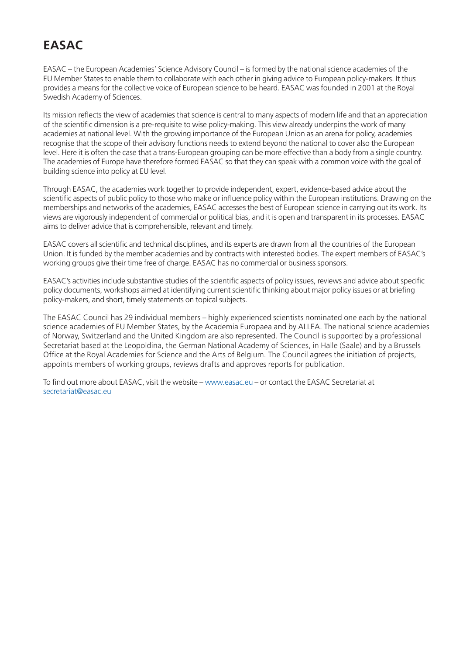# **EASAC**

EASAC – the European Academies' Science Advisory Council – is formed by the national science academies of the EU Member States to enable them to collaborate with each other in giving advice to European policy-makers. It thus provides a means for the collective voice of European science to be heard. EASAC was founded in 2001 at the Royal Swedish Academy of Sciences.

Its mission reflects the view of academies that science is central to many aspects of modern life and that an appreciation of the scientific dimension is a pre-requisite to wise policy-making. This view already underpins the work of many academies at national level. With the growing importance of the European Union as an arena for policy, academies recognise that the scope of their advisory functions needs to extend beyond the national to cover also the European level. Here it is often the case that a trans-European grouping can be more effective than a body from a single country. The academies of Europe have therefore formed EASAC so that they can speak with a common voice with the goal of building science into policy at EU level.

Through EASAC, the academies work together to provide independent, expert, evidence-based advice about the scientific aspects of public policy to those who make or influence policy within the European institutions. Drawing on the memberships and networks of the academies, EASAC accesses the best of European science in carrying out its work. Its views are vigorously independent of commercial or political bias, and it is open and transparent in its processes. EASAC aims to deliver advice that is comprehensible, relevant and timely.

EASAC covers all scientific and technical disciplines, and its experts are drawn from all the countries of the European Union. It is funded by the member academies and by contracts with interested bodies. The expert members of EASAC's working groups give their time free of charge. EASAC has no commercial or business sponsors.

EASAC's activities include substantive studies of the scientific aspects of policy issues, reviews and advice about specific policy documents, workshops aimed at identifying current scientific thinking about major policy issues or at briefing policy-makers, and short, timely statements on topical subjects.

The EASAC Council has 29 individual members – highly experienced scientists nominated one each by the national science academies of EU Member States, by the Academia Europaea and by ALLEA. The national science academies of Norway, Switzerland and the United Kingdom are also represented. The Council is supported by a professional Secretariat based at the Leopoldina, the German National Academy of Sciences, in Halle (Saale) and by a Brussels Office at the Royal Academies for Science and the Arts of Belgium. The Council agrees the initiation of projects, appoints members of working groups, reviews drafts and approves reports for publication.

To find out more about EASAC, visit the website – [www.easac.eu](http://www.easac.eu/) – or contact the EASAC Secretariat at [secretariat@easac.eu](http://www.secretariat@easac.eu/)